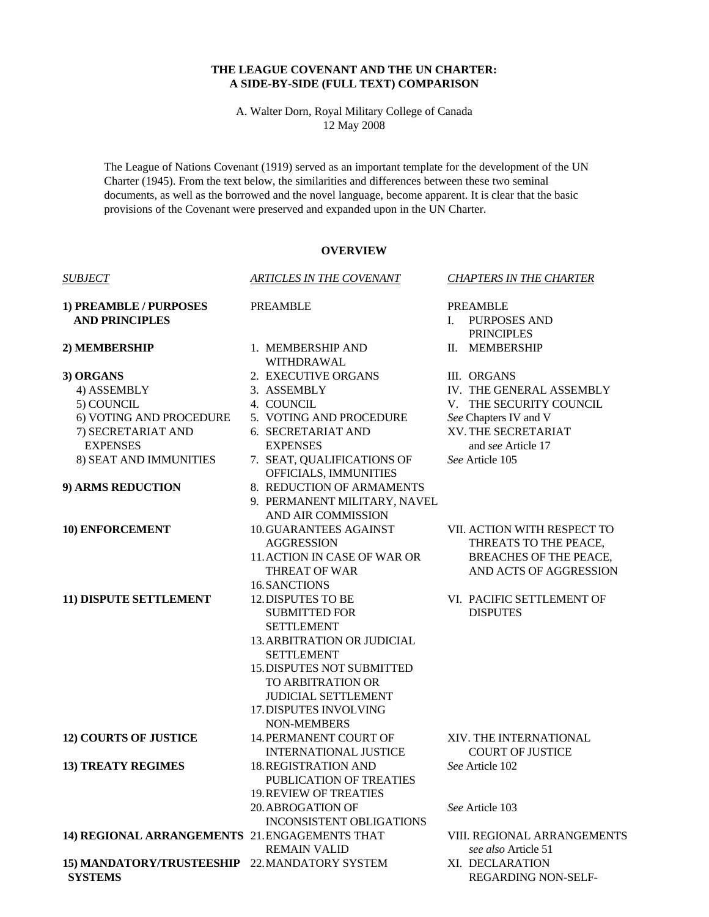# **THE LEAGUE COVENANT AND THE UN CHARTER: A SIDE-BY-SIDE (FULL TEXT) COMPARISON**

A. Walter Dorn, Royal Military College of Canada 12 May 2008

The League of Nations Covenant (1919) served as an important template for the development of the UN Charter (1945). From the text below, the similarities and differences between these two seminal documents, as well as the borrowed and the novel language, become apparent. It is clear that the basic provisions of the Covenant were preserved and expanded upon in the UN Charter.

# **OVERVIEW**

| <b>SUBJECT</b>                                 | <b>ARTICLES IN THE COVENANT</b>                             | <b>CHAPTERS IN THE CHARTER</b>                      |
|------------------------------------------------|-------------------------------------------------------------|-----------------------------------------------------|
| 1) PREAMBLE / PURPOSES                         | <b>PREAMBLE</b>                                             | <b>PREAMBLE</b>                                     |
| <b>AND PRINCIPLES</b>                          |                                                             | L<br><b>PURPOSES AND</b>                            |
|                                                |                                                             | <b>PRINCIPLES</b>                                   |
| 2) MEMBERSHIP                                  | 1. MEMBERSHIP AND                                           | II. MEMBERSHIP                                      |
|                                                | WITHDRAWAL                                                  |                                                     |
| 3) ORGANS                                      | 2. EXECUTIVE ORGANS                                         | III. ORGANS                                         |
| 4) ASSEMBLY<br>5) COUNCIL                      | 3. ASSEMBLY<br>4. COUNCIL                                   | IV. THE GENERAL ASSEMBLY<br>V. THE SECURITY COUNCIL |
| 6) VOTING AND PROCEDURE                        | 5. VOTING AND PROCEDURE                                     | See Chapters IV and V                               |
| 7) SECRETARIAT AND                             | 6. SECRETARIAT AND                                          | XV. THE SECRETARIAT                                 |
| <b>EXPENSES</b>                                | <b>EXPENSES</b>                                             | and see Article 17                                  |
| 8) SEAT AND IMMUNITIES                         | 7. SEAT, QUALIFICATIONS OF                                  | See Article 105                                     |
|                                                | OFFICIALS, IMMUNITIES                                       |                                                     |
| 9) ARMS REDUCTION                              | 8. REDUCTION OF ARMAMENTS                                   |                                                     |
|                                                | 9. PERMANENT MILITARY, NAVEL                                |                                                     |
|                                                | <b>AND AIR COMMISSION</b>                                   |                                                     |
| 10) ENFORCEMENT                                | <b>10.GUARANTEES AGAINST</b>                                | VII. ACTION WITH RESPECT TO                         |
|                                                | <b>AGGRESSION</b>                                           | THREATS TO THE PEACE,                               |
|                                                | 11. ACTION IN CASE OF WAR OR                                | <b>BREACHES OF THE PEACE,</b>                       |
|                                                | <b>THREAT OF WAR</b>                                        | AND ACTS OF AGGRESSION                              |
|                                                | 16. SANCTIONS                                               |                                                     |
| 11) DISPUTE SETTLEMENT                         | <b>12. DISPUTES TO BE</b>                                   | VI. PACIFIC SETTLEMENT OF                           |
|                                                | <b>SUBMITTED FOR</b>                                        | <b>DISPUTES</b>                                     |
|                                                | <b>SETTLEMENT</b>                                           |                                                     |
|                                                | <b>13. ARBITRATION OR JUDICIAL</b>                          |                                                     |
|                                                | <b>SETTLEMENT</b>                                           |                                                     |
|                                                | <b>15. DISPUTES NOT SUBMITTED</b>                           |                                                     |
|                                                | TO ARBITRATION OR                                           |                                                     |
|                                                | <b>JUDICIAL SETTLEMENT</b>                                  |                                                     |
|                                                | 17. DISPUTES INVOLVING                                      |                                                     |
|                                                | <b>NON-MEMBERS</b>                                          |                                                     |
| <b>12) COURTS OF JUSTICE</b>                   | 14. PERMANENT COURT OF                                      | XIV. THE INTERNATIONAL                              |
|                                                | <b>INTERNATIONAL JUSTICE</b><br><b>18. REGISTRATION AND</b> | <b>COURT OF JUSTICE</b><br>See Article 102          |
| <b>13) TREATY REGIMES</b>                      | PUBLICATION OF TREATIES                                     |                                                     |
|                                                | <b>19. REVIEW OF TREATIES</b>                               |                                                     |
|                                                | <b>20. ABROGATION OF</b>                                    | See Article 103                                     |
|                                                | <b>INCONSISTENT OBLIGATIONS</b>                             |                                                     |
| 14) REGIONAL ARRANGEMENTS 21. ENGAGEMENTS THAT |                                                             | VIII. REGIONAL ARRANGEMENTS                         |
|                                                | <b>REMAIN VALID</b>                                         | see also Article 51                                 |
| 15) MANDATORY/TRUSTEESHIP 22. MANDATORY SYSTEM |                                                             | XI. DECLARATION                                     |
| <b>SYSTEMS</b>                                 |                                                             | <b>REGARDING NON-SELF-</b>                          |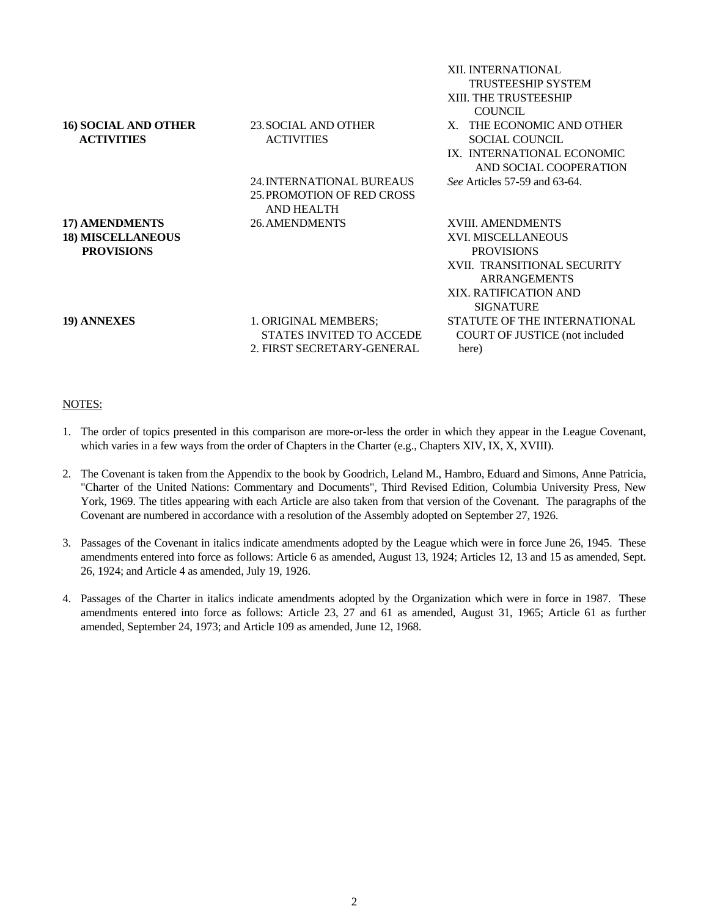|                             |                                  | XII. INTERNATIONAL             |
|-----------------------------|----------------------------------|--------------------------------|
|                             |                                  | <b>TRUSTEESHIP SYSTEM</b>      |
|                             |                                  | XIII. THE TRUSTEESHIP          |
|                             |                                  | <b>COUNCIL</b>                 |
| <b>16) SOCIAL AND OTHER</b> | 23. SOCIAL AND OTHER             | X. THE ECONOMIC AND OTHER      |
| <b>ACTIVITIES</b>           | <b>ACTIVITIES</b>                | SOCIAL COUNCIL                 |
|                             |                                  | IX. INTERNATIONAL ECONOMIC     |
|                             |                                  | AND SOCIAL COOPERATION         |
|                             | <b>24. INTERNATIONAL BUREAUS</b> | See Articles 57-59 and 63-64.  |
|                             | 25. PROMOTION OF RED CROSS       |                                |
|                             | AND HEALTH                       |                                |
| 17) AMENDMENTS              | <b>26. AMENDMENTS</b>            | XVIII. AMENDMENTS              |
| <b>18) MISCELLANEOUS</b>    |                                  | XVI. MISCELLANEOUS             |
| <b>PROVISIONS</b>           |                                  | <b>PROVISIONS</b>              |
|                             |                                  | XVII. TRANSITIONAL SECURITY    |
|                             |                                  | <b>ARRANGEMENTS</b>            |
|                             |                                  | XIX. RATIFICATION AND          |
|                             |                                  | <b>SIGNATURE</b>               |
| 19) ANNEXES                 | 1. ORIGINAL MEMBERS;             | STATUTE OF THE INTERNATIONAL   |
|                             | STATES INVITED TO ACCEDE         | COURT OF JUSTICE (not included |
|                             | 2. FIRST SECRETARY-GENERAL       | here)                          |
|                             |                                  |                                |

## NOTES:

- 1. The order of topics presented in this comparison are more-or-less the order in which they appear in the League Covenant, which varies in a few ways from the order of Chapters in the Charter (e.g., Chapters XIV, IX, X, XVIII).
- 2. The Covenant is taken from the Appendix to the book by Goodrich, Leland M., Hambro, Eduard and Simons, Anne Patricia, "Charter of the United Nations: Commentary and Documents", Third Revised Edition, Columbia University Press, New York, 1969. The titles appearing with each Article are also taken from that version of the Covenant. The paragraphs of the Covenant are numbered in accordance with a resolution of the Assembly adopted on September 27, 1926.
- 3. Passages of the Covenant in italics indicate amendments adopted by the League which were in force June 26, 1945. These amendments entered into force as follows: Article 6 as amended, August 13, 1924; Articles 12, 13 and 15 as amended, Sept. 26, 1924; and Article 4 as amended, July 19, 1926.
- 4. Passages of the Charter in italics indicate amendments adopted by the Organization which were in force in 1987. These amendments entered into force as follows: Article 23, 27 and 61 as amended, August 31, 1965; Article 61 as further amended, September 24, 1973; and Article 109 as amended, June 12, 1968.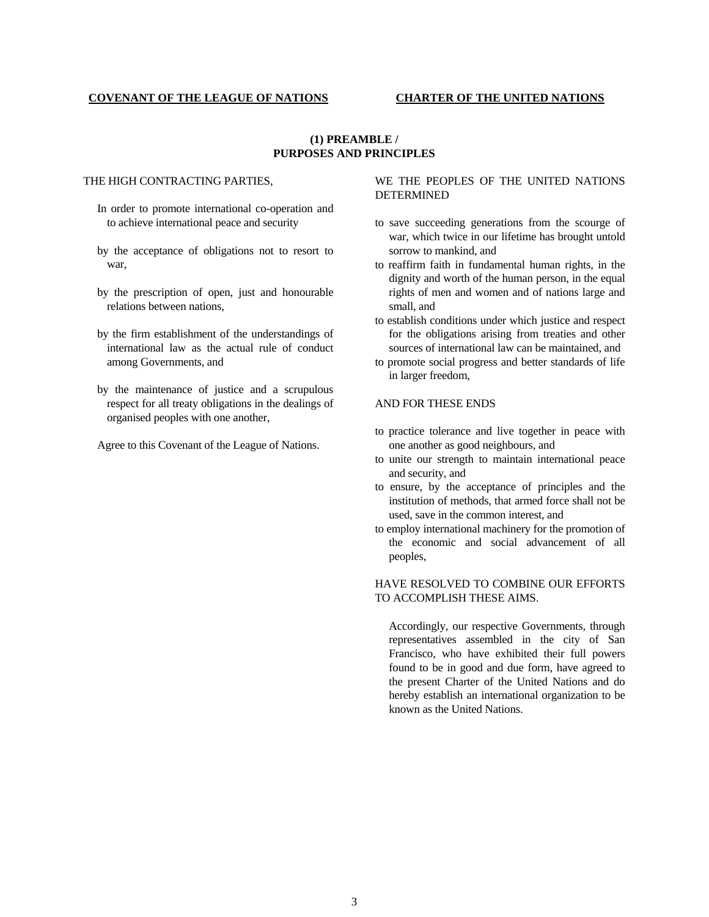## **COVENANT OF THE LEAGUE OF NATIONS CHARTER OF THE UNITED NATIONS**

# **(1) PREAMBLE / PURPOSES AND PRINCIPLES**

## THE HIGH CONTRACTING PARTIES,

- In order to promote international co-operation and to achieve international peace and security
- by the acceptance of obligations not to resort to war,
- by the prescription of open, just and honourable relations between nations,
- by the firm establishment of the understandings of international law as the actual rule of conduct among Governments, and
- by the maintenance of justice and a scrupulous respect for all treaty obligations in the dealings of organised peoples with one another,
- Agree to this Covenant of the League of Nations.

# WE THE PEOPLES OF THE UNITED NATIONS DETERMINED

- to save succeeding generations from the scourge of war, which twice in our lifetime has brought untold sorrow to mankind, and
- to reaffirm faith in fundamental human rights, in the dignity and worth of the human person, in the equal rights of men and women and of nations large and small, and
- to establish conditions under which justice and respect for the obligations arising from treaties and other sources of international law can be maintained, and
- to promote social progress and better standards of life in larger freedom,

## AND FOR THESE ENDS

- to practice tolerance and live together in peace with one another as good neighbours, and
- to unite our strength to maintain international peace and security, and
- to ensure, by the acceptance of principles and the institution of methods, that armed force shall not be used, save in the common interest, and
- to employ international machinery for the promotion of the economic and social advancement of all peoples,

# HAVE RESOLVED TO COMBINE OUR EFFORTS TO ACCOMPLISH THESE AIMS.

 Accordingly, our respective Governments, through representatives assembled in the city of San Francisco, who have exhibited their full powers found to be in good and due form, have agreed to the present Charter of the United Nations and do hereby establish an international organization to be known as the United Nations.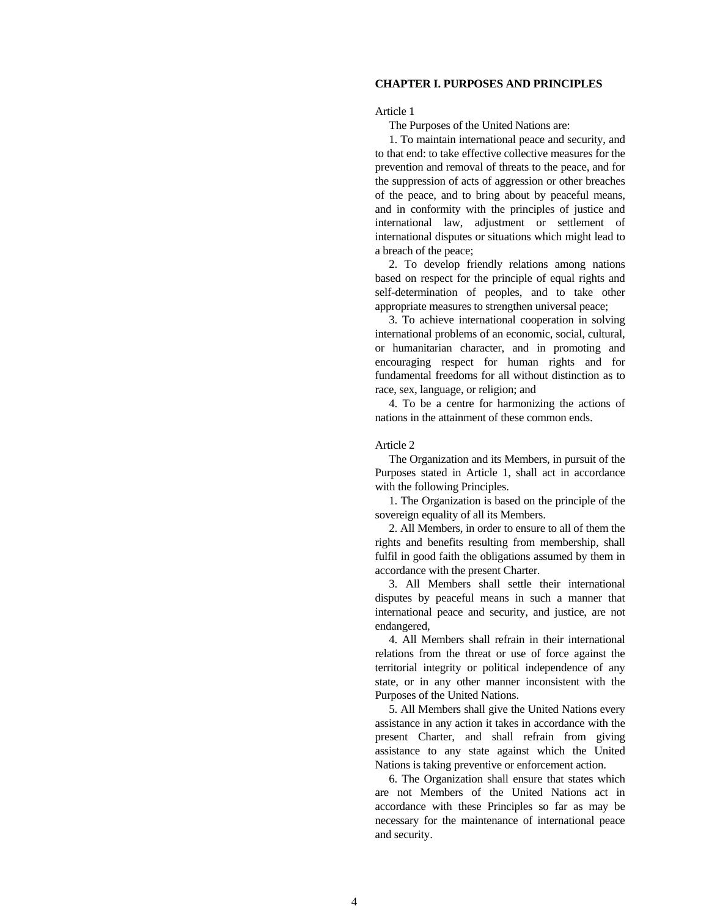# **CHAPTER I. PURPOSES AND PRINCIPLES**

Article 1

The Purposes of the United Nations are:

 1. To maintain international peace and security, and to that end: to take effective collective measures for the prevention and removal of threats to the peace, and for the suppression of acts of aggression or other breaches of the peace, and to bring about by peaceful means, and in conformity with the principles of justice and international law, adjustment or settlement of international disputes or situations which might lead to a breach of the peace;

 2. To develop friendly relations among nations based on respect for the principle of equal rights and self-determination of peoples, and to take other appropriate measures to strengthen universal peace;

 3. To achieve international cooperation in solving international problems of an economic, social, cultural, or humanitarian character, and in promoting and encouraging respect for human rights and for fundamental freedoms for all without distinction as to race, sex, language, or religion; and

 4. To be a centre for harmonizing the actions of nations in the attainment of these common ends.

## Article 2

 The Organization and its Members, in pursuit of the Purposes stated in Article 1, shall act in accordance with the following Principles.

 1. The Organization is based on the principle of the sovereign equality of all its Members.

 2. All Members, in order to ensure to all of them the rights and benefits resulting from membership, shall fulfil in good faith the obligations assumed by them in accordance with the present Charter.

 3. All Members shall settle their international disputes by peaceful means in such a manner that international peace and security, and justice, are not endangered,

 4. All Members shall refrain in their international relations from the threat or use of force against the territorial integrity or political independence of any state, or in any other manner inconsistent with the Purposes of the United Nations.

 5. All Members shall give the United Nations every assistance in any action it takes in accordance with the present Charter, and shall refrain from giving assistance to any state against which the United Nations is taking preventive or enforcement action.

 6. The Organization shall ensure that states which are not Members of the United Nations act in accordance with these Principles so far as may be necessary for the maintenance of international peace and security.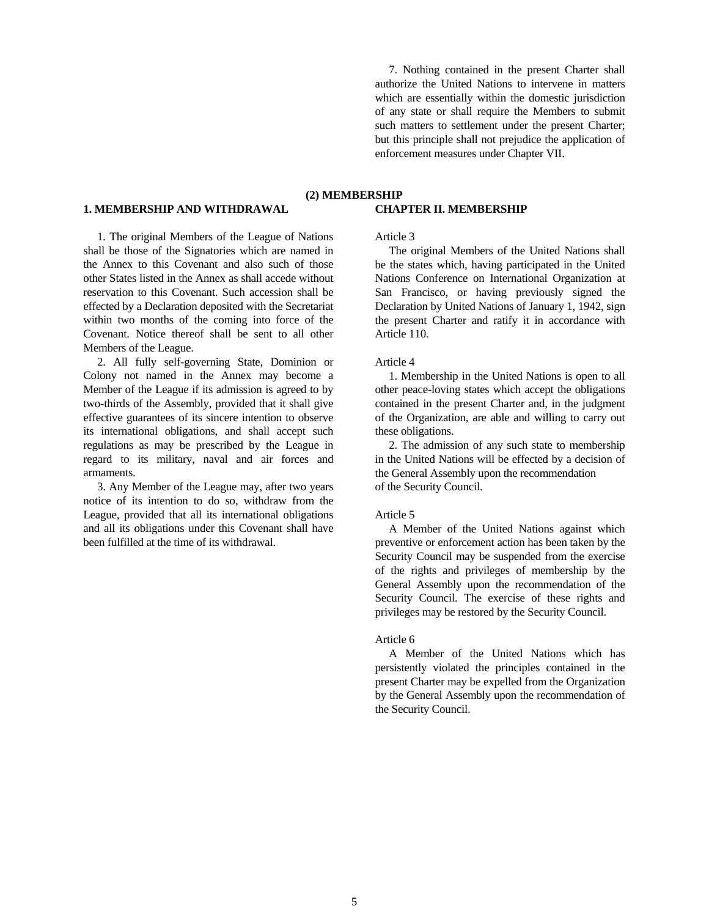7. Nothing contained in the present Charter shall authorize the United Nations to intervene in matters which are essentially within the domestic jurisdiction of any state or shall require the Members to submit such matters to settlement under the present Charter; but this principle shall not prejudice the application of enforcement measures under Chapter VII.

# **1. MEMBERSHIP AND WITHDRAWAL**

 1. The original Members of the League of Nations shall be those of the Signatories which are named in the Annex to this Covenant and also such of those other States listed in the Annex as shall accede without reservation to this Covenant. Such accession shall be effected by a Declaration deposited with the Secretariat within two months of the coming into force of the Covenant. Notice thereof shall be sent to all other Members of the League.

 2. All fully self-governing State, Dominion or Colony not named in the Annex may become a Member of the League if its admission is agreed to by two-thirds of the Assembly, provided that it shall give effective guarantees of its sincere intention to observe its international obligations, and shall accept such regulations as may be prescribed by the League in regard to its military, naval and air forces and armaments.

 3. Any Member of the League may, after two years notice of its intention to do so, withdraw from the League, provided that all its international obligations and all its obligations under this Covenant shall have been fulfilled at the time of its withdrawal.

# **(2) MEMBERSHIP CHAPTER II. MEMBERSHIP**

## Article 3

 The original Members of the United Nations shall be the states which, having participated in the United Nations Conference on International Organization at San Francisco, or having previously signed the Declaration by United Nations of January 1, 1942, sign the present Charter and ratify it in accordance with Article 110.

## Article 4

 1. Membership in the United Nations is open to all other peace-loving states which accept the obligations contained in the present Charter and, in the judgment of the Organization, are able and willing to carry out these obligations.

 2. The admission of any such state to membership in the United Nations will be effected by a decision of the General Assembly upon the recommendation of the Security Council.

#### Article 5

 A Member of the United Nations against which preventive or enforcement action has been taken by the Security Council may be suspended from the exercise of the rights and privileges of membership by the General Assembly upon the recommendation of the Security Council. The exercise of these rights and privileges may be restored by the Security Council.

#### Article 6

 A Member of the United Nations which has persistently violated the principles contained in the present Charter may be expelled from the Organization by the General Assembly upon the recommendation of the Security Council.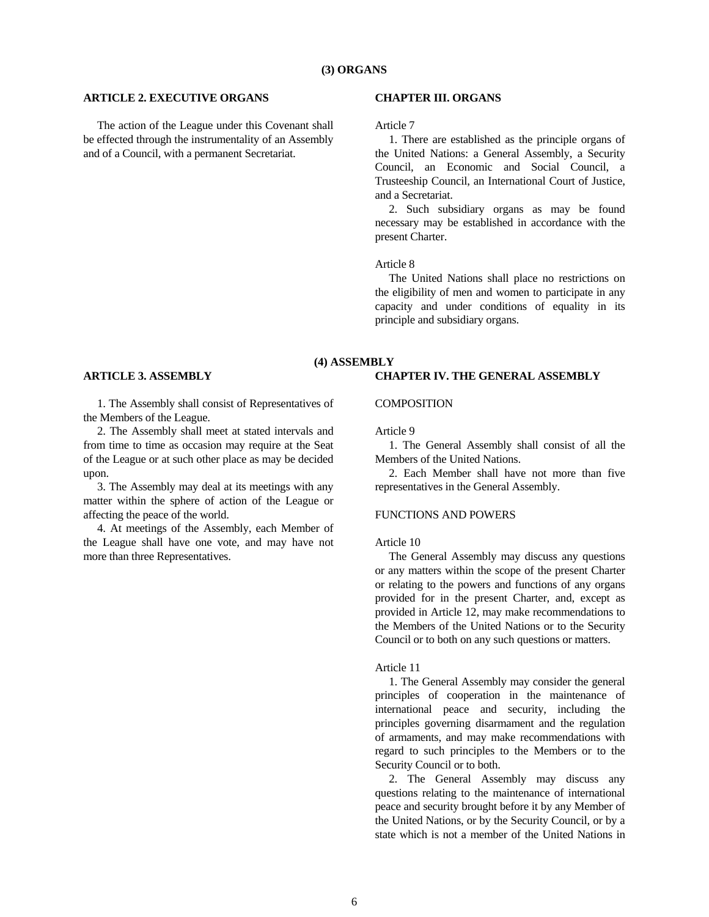## **ARTICLE 2. EXECUTIVE ORGANS**

 The action of the League under this Covenant shall be effected through the instrumentality of an Assembly and of a Council, with a permanent Secretariat.

## **CHAPTER III. ORGANS**

Article 7

 1. There are established as the principle organs of the United Nations: a General Assembly, a Security Council, an Economic and Social Council, a Trusteeship Council, an International Court of Justice, and a Secretariat.

 2. Such subsidiary organs as may be found necessary may be established in accordance with the present Charter.

#### Article 8

 The United Nations shall place no restrictions on the eligibility of men and women to participate in any capacity and under conditions of equality in its principle and subsidiary organs.

# **(4) ASSEMBLY CHAPTER IV. THE GENERAL ASSEMBLY**

#### **ARTICLE 3. ASSEMBLY**

 1. The Assembly shall consist of Representatives of the Members of the League.

 2. The Assembly shall meet at stated intervals and from time to time as occasion may require at the Seat of the League or at such other place as may be decided upon.

 3. The Assembly may deal at its meetings with any matter within the sphere of action of the League or affecting the peace of the world.

 4. At meetings of the Assembly, each Member of the League shall have one vote, and may have not more than three Representatives.

#### **COMPOSITION**

Article 9

 1. The General Assembly shall consist of all the Members of the United Nations.

 2. Each Member shall have not more than five representatives in the General Assembly.

# FUNCTIONS AND POWERS

# Article 10

 The General Assembly may discuss any questions or any matters within the scope of the present Charter or relating to the powers and functions of any organs provided for in the present Charter, and, except as provided in Article 12, may make recommendations to the Members of the United Nations or to the Security Council or to both on any such questions or matters.

## Article 11

 1. The General Assembly may consider the general principles of cooperation in the maintenance of international peace and security, including the principles governing disarmament and the regulation of armaments, and may make recommendations with regard to such principles to the Members or to the Security Council or to both.

 2. The General Assembly may discuss any questions relating to the maintenance of international peace and security brought before it by any Member of the United Nations, or by the Security Council, or by a state which is not a member of the United Nations in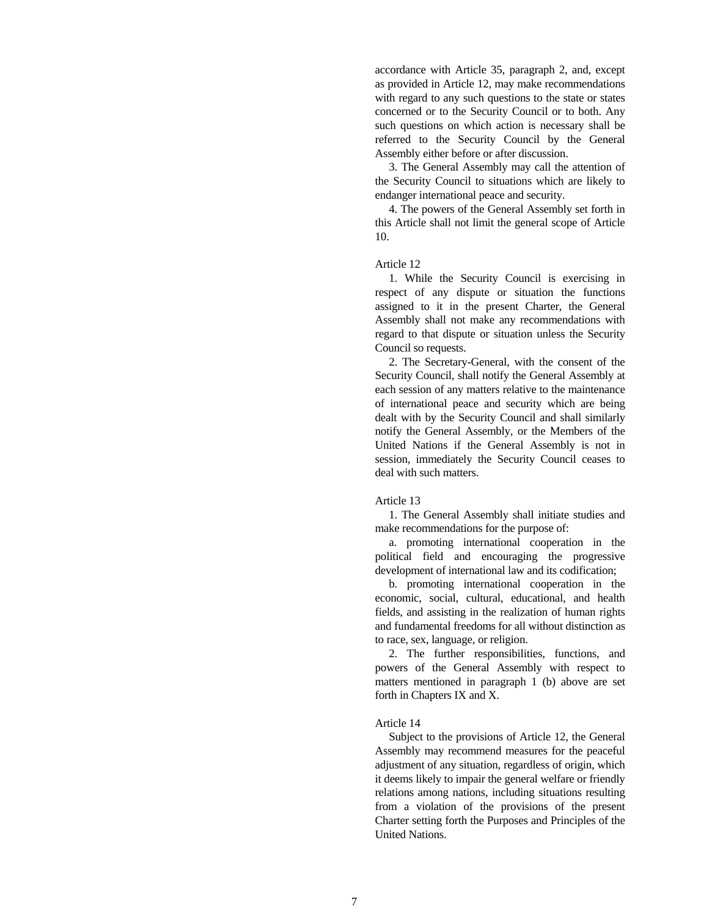accordance with Article 35, paragraph 2, and, except as provided in Article 12, may make recommendations with regard to any such questions to the state or states concerned or to the Security Council or to both. Any such questions on which action is necessary shall be referred to the Security Council by the General Assembly either before or after discussion.

 3. The General Assembly may call the attention of the Security Council to situations which are likely to endanger international peace and security.

 4. The powers of the General Assembly set forth in this Article shall not limit the general scope of Article 10.

#### Article 12

 1. While the Security Council is exercising in respect of any dispute or situation the functions assigned to it in the present Charter, the General Assembly shall not make any recommendations with regard to that dispute or situation unless the Security Council so requests.

 2. The Secretary-General, with the consent of the Security Council, shall notify the General Assembly at each session of any matters relative to the maintenance of international peace and security which are being dealt with by the Security Council and shall similarly notify the General Assembly, or the Members of the United Nations if the General Assembly is not in session, immediately the Security Council ceases to deal with such matters.

#### Article 13

 1. The General Assembly shall initiate studies and make recommendations for the purpose of:

 a. promoting international cooperation in the political field and encouraging the progressive development of international law and its codification;

 b. promoting international cooperation in the economic, social, cultural, educational, and health fields, and assisting in the realization of human rights and fundamental freedoms for all without distinction as to race, sex, language, or religion.

 2. The further responsibilities, functions, and powers of the General Assembly with respect to matters mentioned in paragraph 1 (b) above are set forth in Chapters IX and X.

#### Article 14

 Subject to the provisions of Article 12, the General Assembly may recommend measures for the peaceful adjustment of any situation, regardless of origin, which it deems likely to impair the general welfare or friendly relations among nations, including situations resulting from a violation of the provisions of the present Charter setting forth the Purposes and Principles of the United Nations.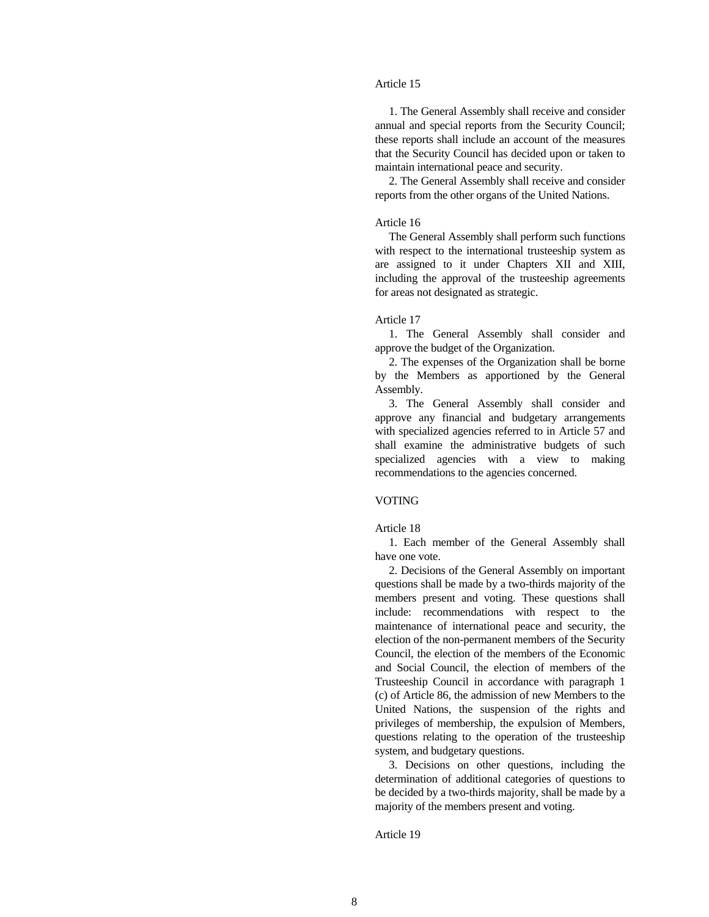# Article 15

 1. The General Assembly shall receive and consider annual and special reports from the Security Council; these reports shall include an account of the measures that the Security Council has decided upon or taken to maintain international peace and security.

 2. The General Assembly shall receive and consider reports from the other organs of the United Nations.

## Article 16

 The General Assembly shall perform such functions with respect to the international trusteeship system as are assigned to it under Chapters XII and XIII, including the approval of the trusteeship agreements for areas not designated as strategic.

#### Article 17

 1. The General Assembly shall consider and approve the budget of the Organization.

 2. The expenses of the Organization shall be borne by the Members as apportioned by the General Assembly.

 3. The General Assembly shall consider and approve any financial and budgetary arrangements with specialized agencies referred to in Article 57 and shall examine the administrative budgets of such specialized agencies with a view to making recommendations to the agencies concerned.

#### VOTING

## Article 18

 1. Each member of the General Assembly shall have one vote.

 2. Decisions of the General Assembly on important questions shall be made by a two-thirds majority of the members present and voting. These questions shall include: recommendations with respect to the maintenance of international peace and security, the election of the non-permanent members of the Security Council, the election of the members of the Economic and Social Council, the election of members of the Trusteeship Council in accordance with paragraph 1 (c) of Article 86, the admission of new Members to the United Nations, the suspension of the rights and privileges of membership, the expulsion of Members, questions relating to the operation of the trusteeship system, and budgetary questions.

 3. Decisions on other questions, including the determination of additional categories of questions to be decided by a two-thirds majority, shall be made by a majority of the members present and voting.

Article 19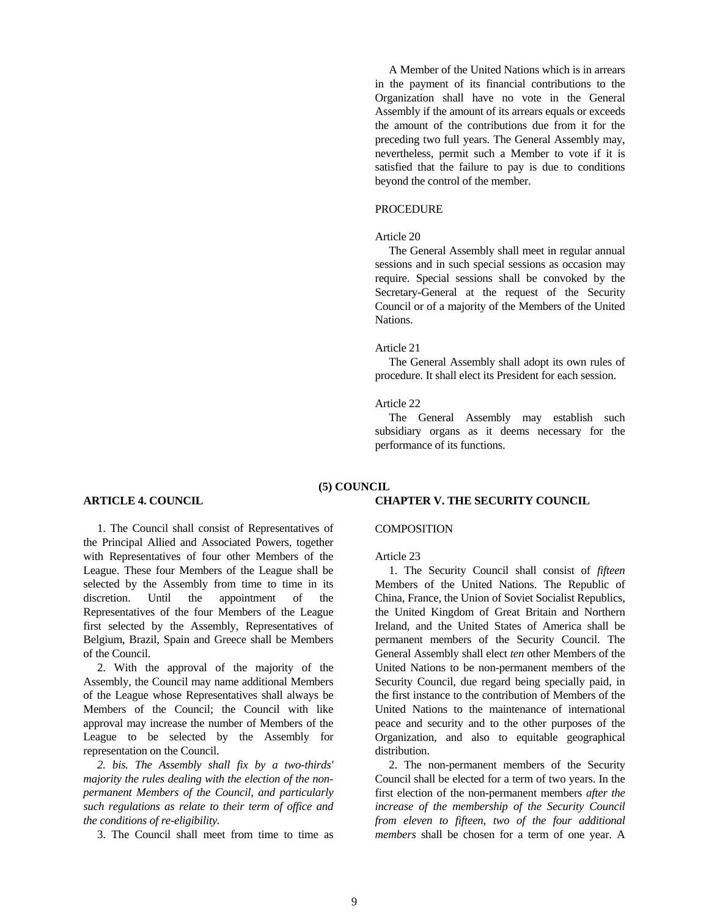A Member of the United Nations which is in arrears in the payment of its financial contributions to the Organization shall have no vote in the General Assembly if the amount of its arrears equals or exceeds the amount of the contributions due from it for the preceding two full years. The General Assembly may, nevertheless, permit such a Member to vote if it is satisfied that the failure to pay is due to conditions beyond the control of the member.

# **PROCEDURE**

# Article 20

 The General Assembly shall meet in regular annual sessions and in such special sessions as occasion may require. Special sessions shall be convoked by the Secretary-General at the request of the Security Council or of a majority of the Members of the United Nations.

#### Article 21

 The General Assembly shall adopt its own rules of procedure. It shall elect its President for each session.

## Article 22

 The General Assembly may establish such subsidiary organs as it deems necessary for the performance of its functions.

**CHAPTER V. THE SECURITY COUNCIL**

# **(5) COUNCIL**

## **ARTICLE 4. COUNCIL**

 1. The Council shall consist of Representatives of the Principal Allied and Associated Powers, together with Representatives of four other Members of the League. These four Members of the League shall be selected by the Assembly from time to time in its discretion. Until the appointment of the Representatives of the four Members of the League first selected by the Assembly, Representatives of Belgium, Brazil, Spain and Greece shall be Members of the Council.

 2. With the approval of the majority of the Assembly, the Council may name additional Members of the League whose Representatives shall always be Members of the Council; the Council with like approval may increase the number of Members of the League to be selected by the Assembly for representation on the Council.

 *2. bis. The Assembly shall fix by a two-thirds' majority the rules dealing with the election of the nonpermanent Members of the Council, and particularly such regulations as relate to their term of office and the conditions of re-eligibility.*

3. The Council shall meet from time to time as

## **COMPOSITION**

## Article 23

 1. The Security Council shall consist of *fifteen* Members of the United Nations. The Republic of China, France, the Union of Soviet Socialist Republics, the United Kingdom of Great Britain and Northern Ireland, and the United States of America shall be permanent members of the Security Council. The General Assembly shall elect *ten* other Members of the United Nations to be non-permanent members of the Security Council, due regard being specially paid, in the first instance to the contribution of Members of the United Nations to the maintenance of international peace and security and to the other purposes of the Organization, and also to equitable geographical distribution.

 2. The non-permanent members of the Security Council shall be elected for a term of two years. In the first election of the non-permanent members *after the increase of the membership of the Security Council from eleven to fifteen, two of the four additional members* shall be chosen for a term of one year. A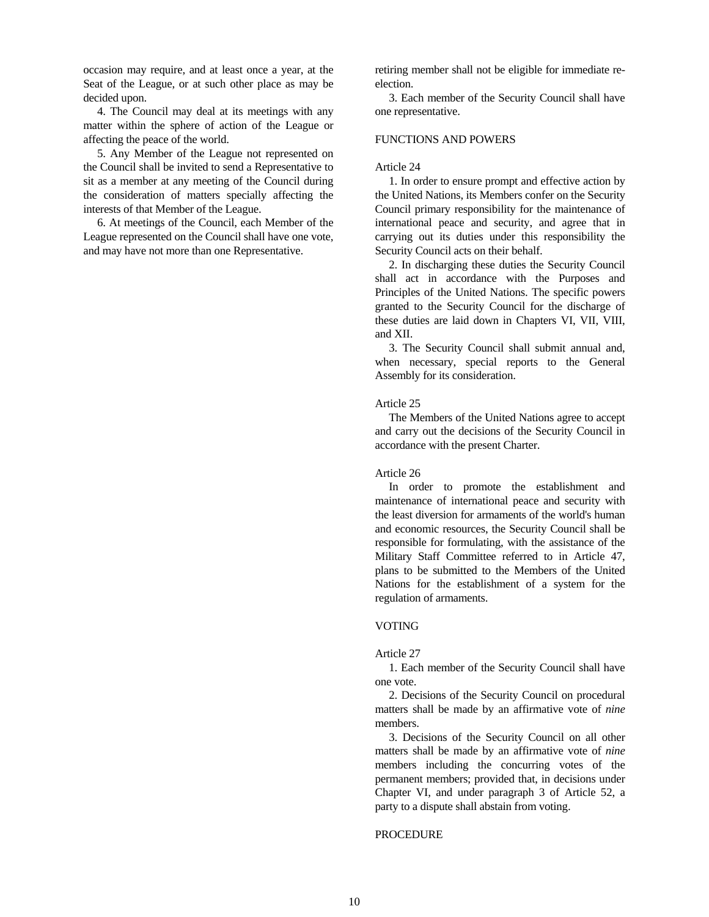occasion may require, and at least once a year, at the Seat of the League, or at such other place as may be decided upon.

 4. The Council may deal at its meetings with any matter within the sphere of action of the League or affecting the peace of the world.

 5. Any Member of the League not represented on the Council shall be invited to send a Representative to sit as a member at any meeting of the Council during the consideration of matters specially affecting the interests of that Member of the League.

 6. At meetings of the Council, each Member of the League represented on the Council shall have one vote, and may have not more than one Representative.

retiring member shall not be eligible for immediate reelection.

 3. Each member of the Security Council shall have one representative.

# FUNCTIONS AND POWERS

#### Article 24

 1. In order to ensure prompt and effective action by the United Nations, its Members confer on the Security Council primary responsibility for the maintenance of international peace and security, and agree that in carrying out its duties under this responsibility the Security Council acts on their behalf.

 2. In discharging these duties the Security Council shall act in accordance with the Purposes and Principles of the United Nations. The specific powers granted to the Security Council for the discharge of these duties are laid down in Chapters VI, VII, VIII, and XII.

 3. The Security Council shall submit annual and, when necessary, special reports to the General Assembly for its consideration.

## Article 25

 The Members of the United Nations agree to accept and carry out the decisions of the Security Council in accordance with the present Charter.

#### Article 26

 In order to promote the establishment and maintenance of international peace and security with the least diversion for armaments of the world's human and economic resources, the Security Council shall be responsible for formulating, with the assistance of the Military Staff Committee referred to in Article 47, plans to be submitted to the Members of the United Nations for the establishment of a system for the regulation of armaments.

## VOTING

#### Article 27

 1. Each member of the Security Council shall have one vote.

 2. Decisions of the Security Council on procedural matters shall be made by an affirmative vote of *nine* members.

 3. Decisions of the Security Council on all other matters shall be made by an affirmative vote of *nine* members including the concurring votes of the permanent members; provided that, in decisions under Chapter VI, and under paragraph 3 of Article 52, a party to a dispute shall abstain from voting.

## **PROCEDURE**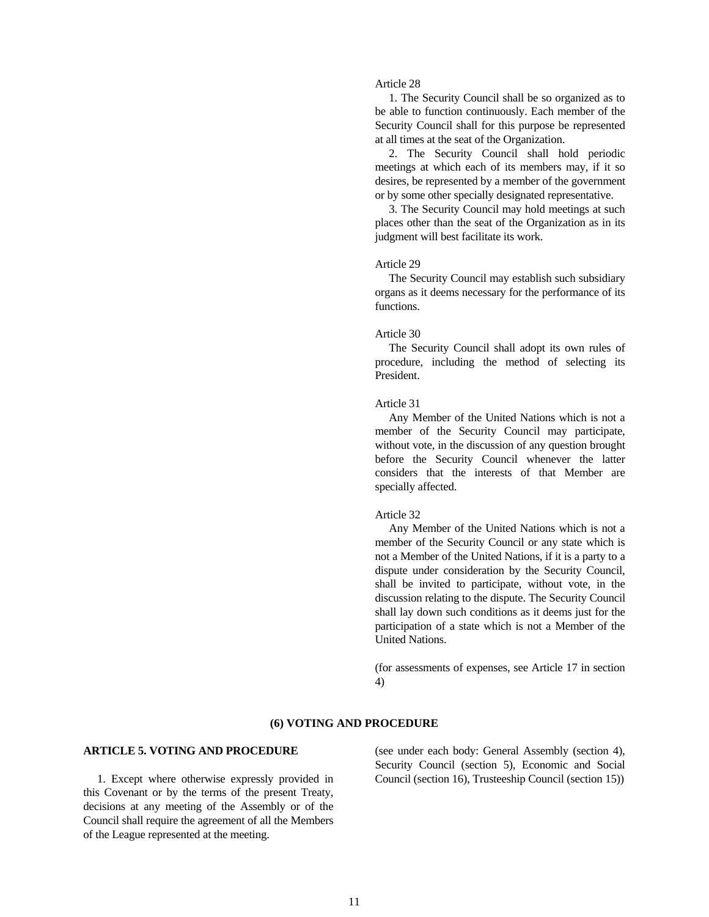# Article 28

 1. The Security Council shall be so organized as to be able to function continuously. Each member of the Security Council shall for this purpose be represented at all times at the seat of the Organization.

 2. The Security Council shall hold periodic meetings at which each of its members may, if it so desires, be represented by a member of the government or by some other specially designated representative.

 3. The Security Council may hold meetings at such places other than the seat of the Organization as in its judgment will best facilitate its work.

#### Article 29

 The Security Council may establish such subsidiary organs as it deems necessary for the performance of its functions.

## Article 30

 The Security Council shall adopt its own rules of procedure, including the method of selecting its President.

## Article 31

 Any Member of the United Nations which is not a member of the Security Council may participate, without vote, in the discussion of any question brought before the Security Council whenever the latter considers that the interests of that Member are specially affected.

#### Article 32

 Any Member of the United Nations which is not a member of the Security Council or any state which is not a Member of the United Nations, if it is a party to a dispute under consideration by the Security Council, shall be invited to participate, without vote, in the discussion relating to the dispute. The Security Council shall lay down such conditions as it deems just for the participation of a state which is not a Member of the United Nations.

(for assessments of expenses, see Article 17 in section 4)

# **(6) VOTING AND PROCEDURE**

# **ARTICLE 5. VOTING AND PROCEDURE**

 1. Except where otherwise expressly provided in this Covenant or by the terms of the present Treaty, decisions at any meeting of the Assembly or of the Council shall require the agreement of all the Members of the League represented at the meeting.

(see under each body: General Assembly (section 4), Security Council (section 5), Economic and Social Council (section 16), Trusteeship Council (section 15))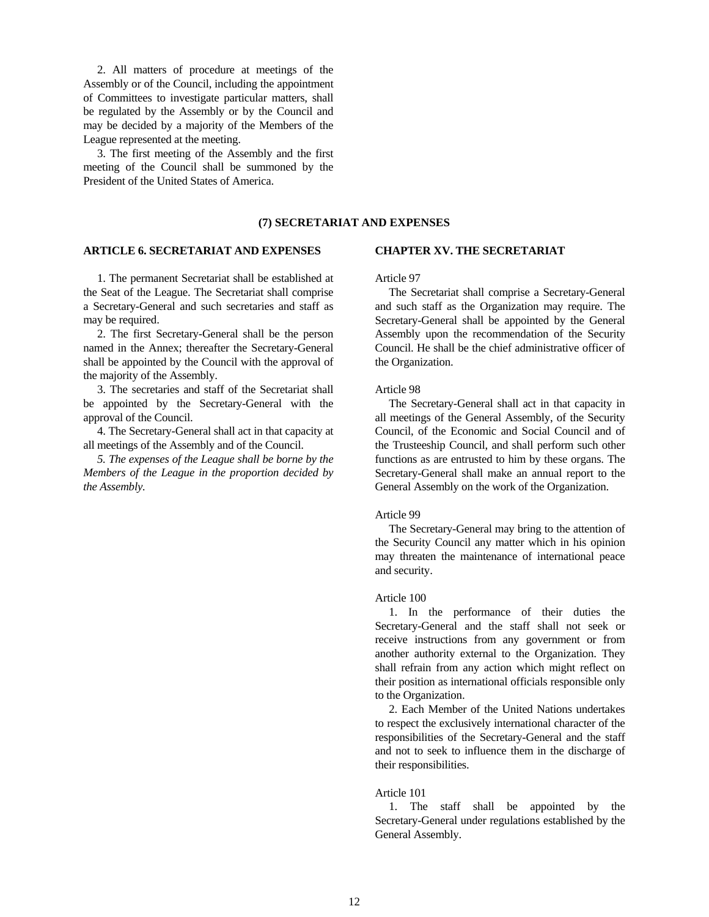2. All matters of procedure at meetings of the Assembly or of the Council, including the appointment of Committees to investigate particular matters, shall be regulated by the Assembly or by the Council and may be decided by a majority of the Members of the League represented at the meeting.

 3. The first meeting of the Assembly and the first meeting of the Council shall be summoned by the President of the United States of America.

# **(7) SECRETARIAT AND EXPENSES**

## **ARTICLE 6. SECRETARIAT AND EXPENSES**

 1. The permanent Secretariat shall be established at the Seat of the League. The Secretariat shall comprise a Secretary-General and such secretaries and staff as may be required.

 2. The first Secretary-General shall be the person named in the Annex; thereafter the Secretary-General shall be appointed by the Council with the approval of the majority of the Assembly.

 3. The secretaries and staff of the Secretariat shall be appointed by the Secretary-General with the approval of the Council.

 4. The Secretary-General shall act in that capacity at all meetings of the Assembly and of the Council.

 *5. The expenses of the League shall be borne by the Members of the League in the proportion decided by the Assembly.*

#### **CHAPTER XV. THE SECRETARIAT**

Article 97

 The Secretariat shall comprise a Secretary-General and such staff as the Organization may require. The Secretary-General shall be appointed by the General Assembly upon the recommendation of the Security Council. He shall be the chief administrative officer of the Organization.

#### Article 98

 The Secretary-General shall act in that capacity in all meetings of the General Assembly, of the Security Council, of the Economic and Social Council and of the Trusteeship Council, and shall perform such other functions as are entrusted to him by these organs. The Secretary-General shall make an annual report to the General Assembly on the work of the Organization.

#### Article 99

 The Secretary-General may bring to the attention of the Security Council any matter which in his opinion may threaten the maintenance of international peace and security.

## Article 100

 1. In the performance of their duties the Secretary-General and the staff shall not seek or receive instructions from any government or from another authority external to the Organization. They shall refrain from any action which might reflect on their position as international officials responsible only to the Organization.

 2. Each Member of the United Nations undertakes to respect the exclusively international character of the responsibilities of the Secretary-General and the staff and not to seek to influence them in the discharge of their responsibilities.

## Article 101

 1. The staff shall be appointed by the Secretary-General under regulations established by the General Assembly.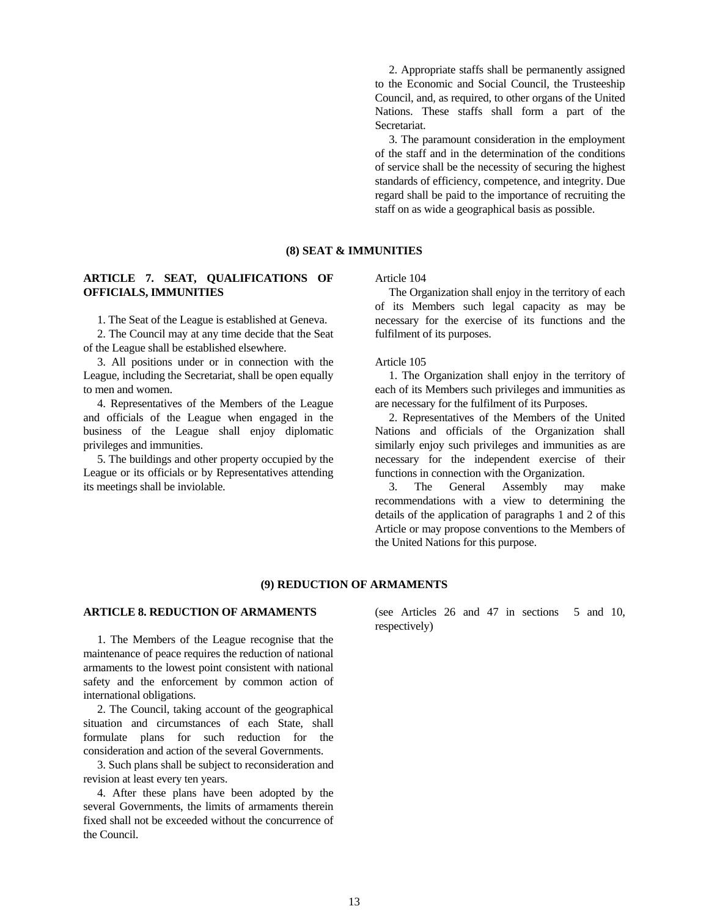2. Appropriate staffs shall be permanently assigned to the Economic and Social Council, the Trusteeship Council, and, as required, to other organs of the United Nations. These staffs shall form a part of the Secretariat.

 3. The paramount consideration in the employment of the staff and in the determination of the conditions of service shall be the necessity of securing the highest standards of efficiency, competence, and integrity. Due regard shall be paid to the importance of recruiting the staff on as wide a geographical basis as possible.

# **(8) SEAT & IMMUNITIES**

# **ARTICLE 7. SEAT, QUALIFICATIONS OF OFFICIALS, IMMUNITIES**

1. The Seat of the League is established at Geneva.

 2. The Council may at any time decide that the Seat of the League shall be established elsewhere.

 3. All positions under or in connection with the League, including the Secretariat, shall be open equally to men and women.

 4. Representatives of the Members of the League and officials of the League when engaged in the business of the League shall enjoy diplomatic privileges and immunities.

 5. The buildings and other property occupied by the League or its officials or by Representatives attending its meetings shall be inviolable.

Article 104

 The Organization shall enjoy in the territory of each of its Members such legal capacity as may be necessary for the exercise of its functions and the fulfilment of its purposes.

Article 105

 1. The Organization shall enjoy in the territory of each of its Members such privileges and immunities as are necessary for the fulfilment of its Purposes.

 2. Representatives of the Members of the United Nations and officials of the Organization shall similarly enjoy such privileges and immunities as are necessary for the independent exercise of their functions in connection with the Organization.

 3. The General Assembly may make recommendations with a view to determining the details of the application of paragraphs 1 and 2 of this Article or may propose conventions to the Members of the United Nations for this purpose.

## **(9) REDUCTION OF ARMAMENTS**

# **ARTICLE 8. REDUCTION OF ARMAMENTS**

 1. The Members of the League recognise that the maintenance of peace requires the reduction of national armaments to the lowest point consistent with national safety and the enforcement by common action of international obligations.

 2. The Council, taking account of the geographical situation and circumstances of each State, shall formulate plans for such reduction for the consideration and action of the several Governments.

 3. Such plans shall be subject to reconsideration and revision at least every ten years.

 4. After these plans have been adopted by the several Governments, the limits of armaments therein fixed shall not be exceeded without the concurrence of the Council.

(see Articles 26 and 47 in sections 5 and 10, respectively)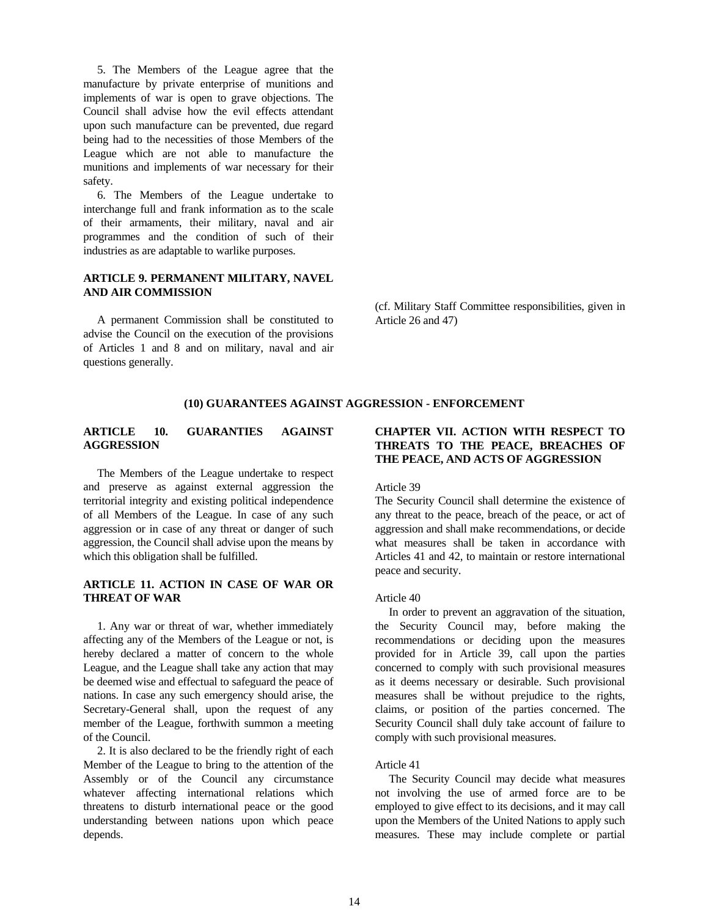5. The Members of the League agree that the manufacture by private enterprise of munitions and implements of war is open to grave objections. The Council shall advise how the evil effects attendant upon such manufacture can be prevented, due regard being had to the necessities of those Members of the League which are not able to manufacture the munitions and implements of war necessary for their safety.

 6. The Members of the League undertake to interchange full and frank information as to the scale of their armaments, their military, naval and air programmes and the condition of such of their industries as are adaptable to warlike purposes.

# **ARTICLE 9. PERMANENT MILITARY, NAVEL AND AIR COMMISSION**

 A permanent Commission shall be constituted to advise the Council on the execution of the provisions of Articles 1 and 8 and on military, naval and air questions generally.

(cf. Military Staff Committee responsibilities, given in Article 26 and 47)

# **(10) GUARANTEES AGAINST AGGRESSION - ENFORCEMENT**

# **ARTICLE 10. GUARANTIES AGAINST AGGRESSION**

 The Members of the League undertake to respect and preserve as against external aggression the territorial integrity and existing political independence of all Members of the League. In case of any such aggression or in case of any threat or danger of such aggression, the Council shall advise upon the means by which this obligation shall be fulfilled.

# **ARTICLE 11. ACTION IN CASE OF WAR OR THREAT OF WAR**

 1. Any war or threat of war, whether immediately affecting any of the Members of the League or not, is hereby declared a matter of concern to the whole League, and the League shall take any action that may be deemed wise and effectual to safeguard the peace of nations. In case any such emergency should arise, the Secretary-General shall, upon the request of any member of the League, forthwith summon a meeting of the Council.

 2. It is also declared to be the friendly right of each Member of the League to bring to the attention of the Assembly or of the Council any circumstance whatever affecting international relations which threatens to disturb international peace or the good understanding between nations upon which peace depends.

# **CHAPTER VII. ACTION WITH RESPECT TO THREATS TO THE PEACE, BREACHES OF THE PEACE, AND ACTS OF AGGRESSION**

#### Article 39

The Security Council shall determine the existence of any threat to the peace, breach of the peace, or act of aggression and shall make recommendations, or decide what measures shall be taken in accordance with Articles 41 and 42, to maintain or restore international peace and security.

# Article 40

 In order to prevent an aggravation of the situation, the Security Council may, before making the recommendations or deciding upon the measures provided for in Article 39, call upon the parties concerned to comply with such provisional measures as it deems necessary or desirable. Such provisional measures shall be without prejudice to the rights, claims, or position of the parties concerned. The Security Council shall duly take account of failure to comply with such provisional measures.

# Article 41

 The Security Council may decide what measures not involving the use of armed force are to be employed to give effect to its decisions, and it may call upon the Members of the United Nations to apply such measures. These may include complete or partial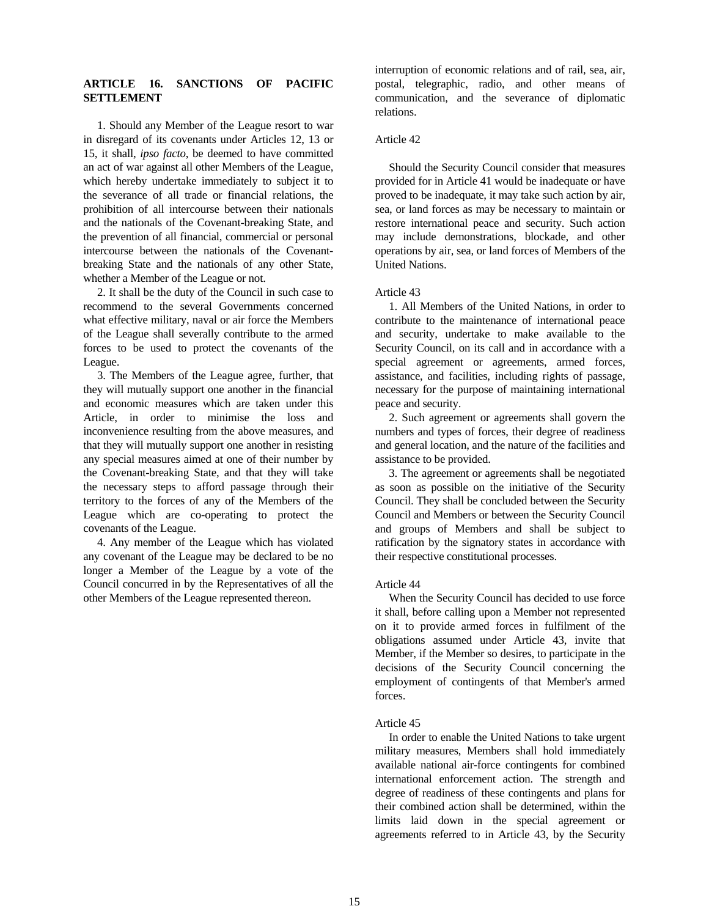# **ARTICLE 16. SANCTIONS OF PACIFIC SETTLEMENT**

 1. Should any Member of the League resort to war in disregard of its covenants under Articles 12, 13 or 15, it shall, *ipso facto*, be deemed to have committed an act of war against all other Members of the League, which hereby undertake immediately to subject it to the severance of all trade or financial relations, the prohibition of all intercourse between their nationals and the nationals of the Covenant-breaking State, and the prevention of all financial, commercial or personal intercourse between the nationals of the Covenantbreaking State and the nationals of any other State, whether a Member of the League or not.

 2. It shall be the duty of the Council in such case to recommend to the several Governments concerned what effective military, naval or air force the Members of the League shall severally contribute to the armed forces to be used to protect the covenants of the League.

 3. The Members of the League agree, further, that they will mutually support one another in the financial and economic measures which are taken under this Article, in order to minimise the loss and inconvenience resulting from the above measures, and that they will mutually support one another in resisting any special measures aimed at one of their number by the Covenant-breaking State, and that they will take the necessary steps to afford passage through their territory to the forces of any of the Members of the League which are co-operating to protect the covenants of the League.

 4. Any member of the League which has violated any covenant of the League may be declared to be no longer a Member of the League by a vote of the Council concurred in by the Representatives of all the other Members of the League represented thereon.

interruption of economic relations and of rail, sea, air, postal, telegraphic, radio, and other means of communication, and the severance of diplomatic relations.

# Article 42

 Should the Security Council consider that measures provided for in Article 41 would be inadequate or have proved to be inadequate, it may take such action by air, sea, or land forces as may be necessary to maintain or restore international peace and security. Such action may include demonstrations, blockade, and other operations by air, sea, or land forces of Members of the United Nations.

## Article 43

 1. All Members of the United Nations, in order to contribute to the maintenance of international peace and security, undertake to make available to the Security Council, on its call and in accordance with a special agreement or agreements, armed forces, assistance, and facilities, including rights of passage, necessary for the purpose of maintaining international peace and security.

 2. Such agreement or agreements shall govern the numbers and types of forces, their degree of readiness and general location, and the nature of the facilities and assistance to be provided.

 3. The agreement or agreements shall be negotiated as soon as possible on the initiative of the Security Council. They shall be concluded between the Security Council and Members or between the Security Council and groups of Members and shall be subject to ratification by the signatory states in accordance with their respective constitutional processes.

#### Article 44

 When the Security Council has decided to use force it shall, before calling upon a Member not represented on it to provide armed forces in fulfilment of the obligations assumed under Article 43, invite that Member, if the Member so desires, to participate in the decisions of the Security Council concerning the employment of contingents of that Member's armed forces.

#### Article 45

 In order to enable the United Nations to take urgent military measures, Members shall hold immediately available national air-force contingents for combined international enforcement action. The strength and degree of readiness of these contingents and plans for their combined action shall be determined, within the limits laid down in the special agreement or agreements referred to in Article 43, by the Security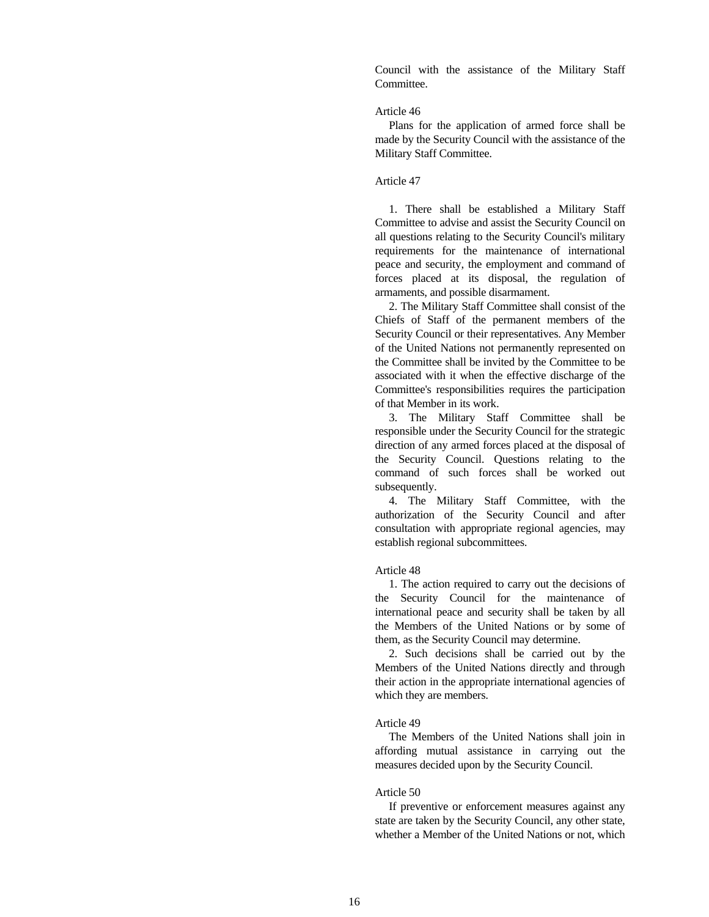Council with the assistance of the Military Staff Committee.

## Article 46

 Plans for the application of armed force shall be made by the Security Council with the assistance of the Military Staff Committee.

# Article 47

 1. There shall be established a Military Staff Committee to advise and assist the Security Council on all questions relating to the Security Council's military requirements for the maintenance of international peace and security, the employment and command of forces placed at its disposal, the regulation of armaments, and possible disarmament.

 2. The Military Staff Committee shall consist of the Chiefs of Staff of the permanent members of the Security Council or their representatives. Any Member of the United Nations not permanently represented on the Committee shall be invited by the Committee to be associated with it when the effective discharge of the Committee's responsibilities requires the participation of that Member in its work.

 3. The Military Staff Committee shall be responsible under the Security Council for the strategic direction of any armed forces placed at the disposal of the Security Council. Questions relating to the command of such forces shall be worked out subsequently.

 4. The Military Staff Committee, with the authorization of the Security Council and after consultation with appropriate regional agencies, may establish regional subcommittees.

## Article 48

 1. The action required to carry out the decisions of the Security Council for the maintenance of international peace and security shall be taken by all the Members of the United Nations or by some of them, as the Security Council may determine.

 2. Such decisions shall be carried out by the Members of the United Nations directly and through their action in the appropriate international agencies of which they are members.

#### Article 49

 The Members of the United Nations shall join in affording mutual assistance in carrying out the measures decided upon by the Security Council.

## Article 50

 If preventive or enforcement measures against any state are taken by the Security Council, any other state, whether a Member of the United Nations or not, which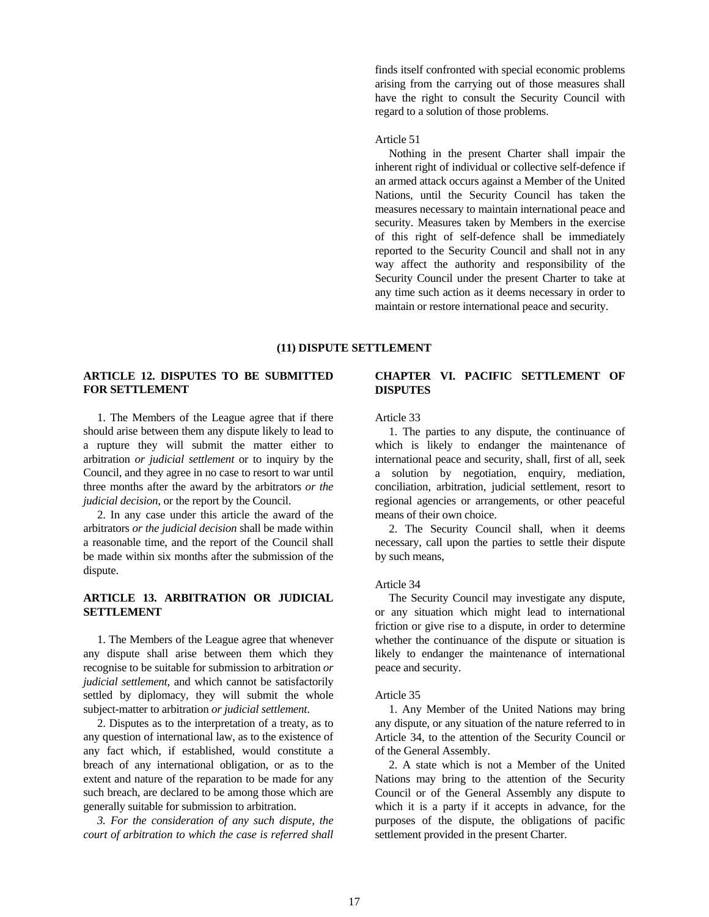finds itself confronted with special economic problems arising from the carrying out of those measures shall have the right to consult the Security Council with regard to a solution of those problems.

# Article 51

 Nothing in the present Charter shall impair the inherent right of individual or collective self-defence if an armed attack occurs against a Member of the United Nations, until the Security Council has taken the measures necessary to maintain international peace and security. Measures taken by Members in the exercise of this right of self-defence shall be immediately reported to the Security Council and shall not in any way affect the authority and responsibility of the Security Council under the present Charter to take at any time such action as it deems necessary in order to maintain or restore international peace and security.

## **(11) DISPUTE SETTLEMENT**

# **ARTICLE 12. DISPUTES TO BE SUBMITTED FOR SETTLEMENT**

 1. The Members of the League agree that if there should arise between them any dispute likely to lead to a rupture they will submit the matter either to arbitration *or judicial settlement* or to inquiry by the Council, and they agree in no case to resort to war until three months after the award by the arbitrators *or the judicial decision*, or the report by the Council.

 2. In any case under this article the award of the arbitrators *or the judicial decision* shall be made within a reasonable time, and the report of the Council shall be made within six months after the submission of the dispute.

# **ARTICLE 13. ARBITRATION OR JUDICIAL SETTLEMENT**

 1. The Members of the League agree that whenever any dispute shall arise between them which they recognise to be suitable for submission to arbitration *or judicial settlement*, and which cannot be satisfactorily settled by diplomacy, they will submit the whole subject-matter to arbitration *or judicial settlement*.

 2. Disputes as to the interpretation of a treaty, as to any question of international law, as to the existence of any fact which, if established, would constitute a breach of any international obligation, or as to the extent and nature of the reparation to be made for any such breach, are declared to be among those which are generally suitable for submission to arbitration.

 *3. For the consideration of any such dispute, the court of arbitration to which the case is referred shall* 

# **CHAPTER VI. PACIFIC SETTLEMENT OF DISPUTES**

Article 33

 1. The parties to any dispute, the continuance of which is likely to endanger the maintenance of international peace and security, shall, first of all, seek a solution by negotiation, enquiry, mediation, conciliation, arbitration, judicial settlement, resort to regional agencies or arrangements, or other peaceful means of their own choice.

 2. The Security Council shall, when it deems necessary, call upon the parties to settle their dispute by such means,

## Article 34

 The Security Council may investigate any dispute, or any situation which might lead to international friction or give rise to a dispute, in order to determine whether the continuance of the dispute or situation is likely to endanger the maintenance of international peace and security.

## Article 35

 1. Any Member of the United Nations may bring any dispute, or any situation of the nature referred to in Article 34, to the attention of the Security Council or of the General Assembly.

 2. A state which is not a Member of the United Nations may bring to the attention of the Security Council or of the General Assembly any dispute to which it is a party if it accepts in advance, for the purposes of the dispute, the obligations of pacific settlement provided in the present Charter.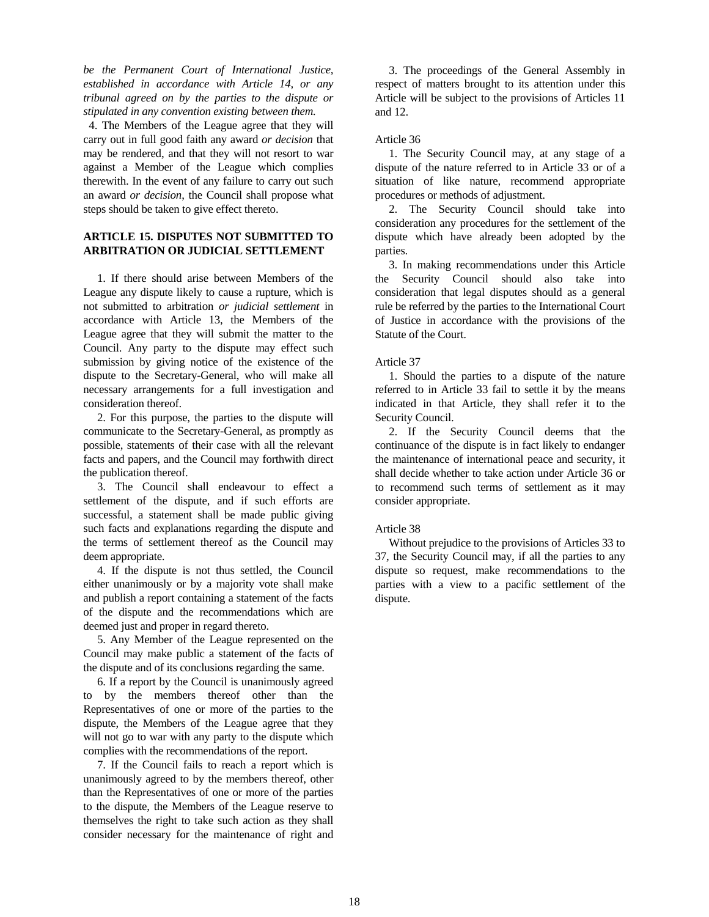*be the Permanent Court of International Justice, established in accordance with Article 14, or any tribunal agreed on by the parties to the dispute or stipulated in any convention existing between them.*

 4. The Members of the League agree that they will carry out in full good faith any award *or decision* that may be rendered, and that they will not resort to war against a Member of the League which complies therewith. In the event of any failure to carry out such an award *or decision*, the Council shall propose what steps should be taken to give effect thereto.

# **ARTICLE 15. DISPUTES NOT SUBMITTED TO ARBITRATION OR JUDICIAL SETTLEMENT**

 1. If there should arise between Members of the League any dispute likely to cause a rupture, which is not submitted to arbitration *or judicial settlement* in accordance with Article 13, the Members of the League agree that they will submit the matter to the Council. Any party to the dispute may effect such submission by giving notice of the existence of the dispute to the Secretary-General, who will make all necessary arrangements for a full investigation and consideration thereof.

 2. For this purpose, the parties to the dispute will communicate to the Secretary-General, as promptly as possible, statements of their case with all the relevant facts and papers, and the Council may forthwith direct the publication thereof.

 3. The Council shall endeavour to effect a settlement of the dispute, and if such efforts are successful, a statement shall be made public giving such facts and explanations regarding the dispute and the terms of settlement thereof as the Council may deem appropriate.

 4. If the dispute is not thus settled, the Council either unanimously or by a majority vote shall make and publish a report containing a statement of the facts of the dispute and the recommendations which are deemed just and proper in regard thereto.

 5. Any Member of the League represented on the Council may make public a statement of the facts of the dispute and of its conclusions regarding the same.

 6. If a report by the Council is unanimously agreed to by the members thereof other than the Representatives of one or more of the parties to the dispute, the Members of the League agree that they will not go to war with any party to the dispute which complies with the recommendations of the report.

 7. If the Council fails to reach a report which is unanimously agreed to by the members thereof, other than the Representatives of one or more of the parties to the dispute, the Members of the League reserve to themselves the right to take such action as they shall consider necessary for the maintenance of right and

 3. The proceedings of the General Assembly in respect of matters brought to its attention under this Article will be subject to the provisions of Articles 11 and 12.

# Article 36

 1. The Security Council may, at any stage of a dispute of the nature referred to in Article 33 or of a situation of like nature, recommend appropriate procedures or methods of adjustment.

 2. The Security Council should take into consideration any procedures for the settlement of the dispute which have already been adopted by the parties.

 3. In making recommendations under this Article the Security Council should also take into consideration that legal disputes should as a general rule be referred by the parties to the International Court of Justice in accordance with the provisions of the Statute of the Court.

# Article 37

 1. Should the parties to a dispute of the nature referred to in Article 33 fail to settle it by the means indicated in that Article, they shall refer it to the Security Council.

 2. If the Security Council deems that the continuance of the dispute is in fact likely to endanger the maintenance of international peace and security, it shall decide whether to take action under Article 36 or to recommend such terms of settlement as it may consider appropriate.

# Article 38

 Without prejudice to the provisions of Articles 33 to 37, the Security Council may, if all the parties to any dispute so request, make recommendations to the parties with a view to a pacific settlement of the dispute.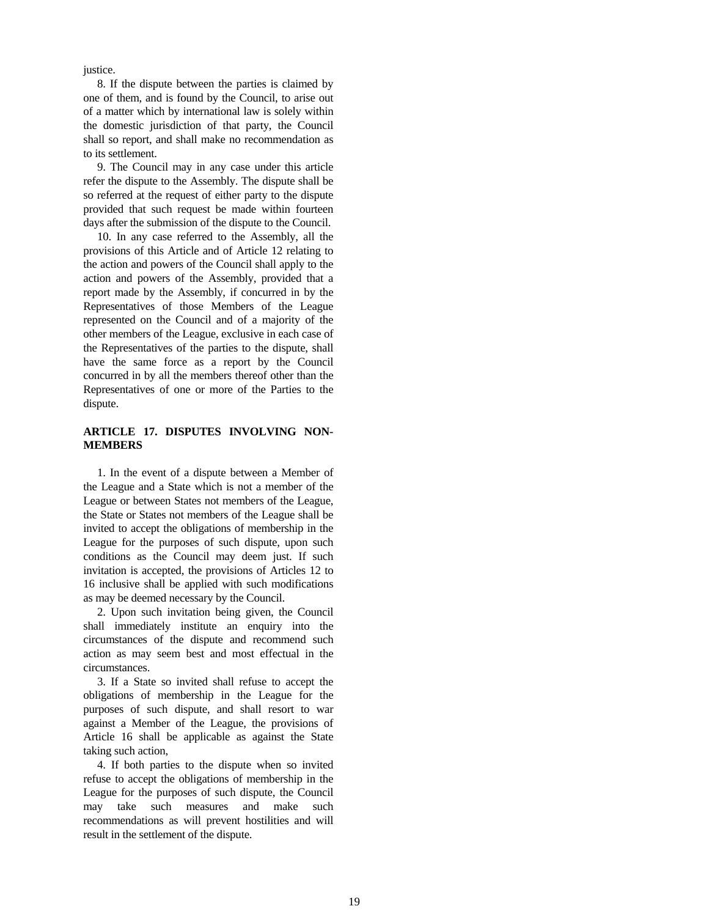justice.

 8. If the dispute between the parties is claimed by one of them, and is found by the Council, to arise out of a matter which by international law is solely within the domestic jurisdiction of that party, the Council shall so report, and shall make no recommendation as to its settlement.

 9. The Council may in any case under this article refer the dispute to the Assembly. The dispute shall be so referred at the request of either party to the dispute provided that such request be made within fourteen days after the submission of the dispute to the Council.

 10. In any case referred to the Assembly, all the provisions of this Article and of Article 12 relating to the action and powers of the Council shall apply to the action and powers of the Assembly, provided that a report made by the Assembly, if concurred in by the Representatives of those Members of the League represented on the Council and of a majority of the other members of the League, exclusive in each case of the Representatives of the parties to the dispute, shall have the same force as a report by the Council concurred in by all the members thereof other than the Representatives of one or more of the Parties to the dispute.

# **ARTICLE 17. DISPUTES INVOLVING NON-MEMBERS**

 1. In the event of a dispute between a Member of the League and a State which is not a member of the League or between States not members of the League, the State or States not members of the League shall be invited to accept the obligations of membership in the League for the purposes of such dispute, upon such conditions as the Council may deem just. If such invitation is accepted, the provisions of Articles 12 to 16 inclusive shall be applied with such modifications as may be deemed necessary by the Council.

 2. Upon such invitation being given, the Council shall immediately institute an enquiry into the circumstances of the dispute and recommend such action as may seem best and most effectual in the circumstances.

 3. If a State so invited shall refuse to accept the obligations of membership in the League for the purposes of such dispute, and shall resort to war against a Member of the League, the provisions of Article 16 shall be applicable as against the State taking such action,

 4. If both parties to the dispute when so invited refuse to accept the obligations of membership in the League for the purposes of such dispute, the Council may take such measures and make such recommendations as will prevent hostilities and will result in the settlement of the dispute.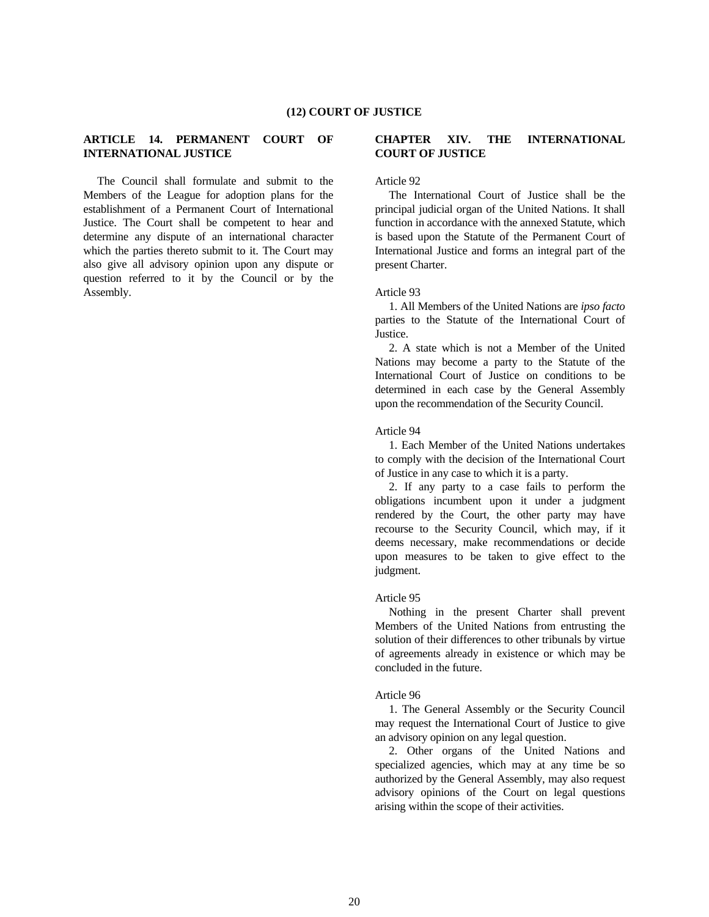# **ARTICLE 14. PERMANENT COURT OF INTERNATIONAL JUSTICE**

 The Council shall formulate and submit to the Members of the League for adoption plans for the establishment of a Permanent Court of International Justice. The Court shall be competent to hear and determine any dispute of an international character which the parties thereto submit to it. The Court may also give all advisory opinion upon any dispute or question referred to it by the Council or by the Assembly.

# **CHAPTER XIV. THE INTERNATIONAL COURT OF JUSTICE**

## Article 92

 The International Court of Justice shall be the principal judicial organ of the United Nations. It shall function in accordance with the annexed Statute, which is based upon the Statute of the Permanent Court of International Justice and forms an integral part of the present Charter.

## Article 93

 1. All Members of the United Nations are *ipso facto* parties to the Statute of the International Court of Justice.

 2. A state which is not a Member of the United Nations may become a party to the Statute of the International Court of Justice on conditions to be determined in each case by the General Assembly upon the recommendation of the Security Council.

#### Article 94

 1. Each Member of the United Nations undertakes to comply with the decision of the International Court of Justice in any case to which it is a party.

 2. If any party to a case fails to perform the obligations incumbent upon it under a judgment rendered by the Court, the other party may have recourse to the Security Council, which may, if it deems necessary, make recommendations or decide upon measures to be taken to give effect to the judgment.

## Article 95

 Nothing in the present Charter shall prevent Members of the United Nations from entrusting the solution of their differences to other tribunals by virtue of agreements already in existence or which may be concluded in the future.

## Article 96

 1. The General Assembly or the Security Council may request the International Court of Justice to give an advisory opinion on any legal question.

 2. Other organs of the United Nations and specialized agencies, which may at any time be so authorized by the General Assembly, may also request advisory opinions of the Court on legal questions arising within the scope of their activities.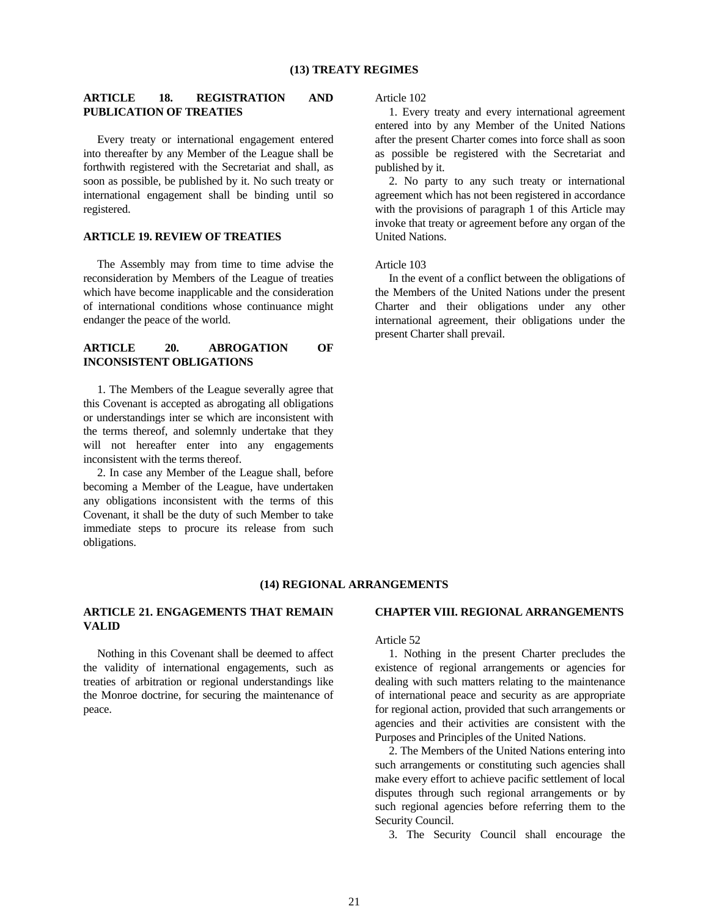# **ARTICLE 18. REGISTRATION AND PUBLICATION OF TREATIES**

 Every treaty or international engagement entered into thereafter by any Member of the League shall be forthwith registered with the Secretariat and shall, as soon as possible, be published by it. No such treaty or international engagement shall be binding until so registered.

# **ARTICLE 19. REVIEW OF TREATIES**

 The Assembly may from time to time advise the reconsideration by Members of the League of treaties which have become inapplicable and the consideration of international conditions whose continuance might endanger the peace of the world.

# **ARTICLE 20. ABROGATION OF INCONSISTENT OBLIGATIONS**

 1. The Members of the League severally agree that this Covenant is accepted as abrogating all obligations or understandings inter se which are inconsistent with the terms thereof, and solemnly undertake that they will not hereafter enter into any engagements inconsistent with the terms thereof.

 2. In case any Member of the League shall, before becoming a Member of the League, have undertaken any obligations inconsistent with the terms of this Covenant, it shall be the duty of such Member to take immediate steps to procure its release from such obligations.

#### Article 102

 1. Every treaty and every international agreement entered into by any Member of the United Nations after the present Charter comes into force shall as soon as possible be registered with the Secretariat and published by it.

 2. No party to any such treaty or international agreement which has not been registered in accordance with the provisions of paragraph 1 of this Article may invoke that treaty or agreement before any organ of the United Nations.

## Article 103

 In the event of a conflict between the obligations of the Members of the United Nations under the present Charter and their obligations under any other international agreement, their obligations under the present Charter shall prevail.

#### **(14) REGIONAL ARRANGEMENTS**

# **ARTICLE 21. ENGAGEMENTS THAT REMAIN VALID**

 Nothing in this Covenant shall be deemed to affect the validity of international engagements, such as treaties of arbitration or regional understandings like the Monroe doctrine, for securing the maintenance of peace.

#### **CHAPTER VIII. REGIONAL ARRANGEMENTS**

#### Article 52

 1. Nothing in the present Charter precludes the existence of regional arrangements or agencies for dealing with such matters relating to the maintenance of international peace and security as are appropriate for regional action, provided that such arrangements or agencies and their activities are consistent with the Purposes and Principles of the United Nations.

 2. The Members of the United Nations entering into such arrangements or constituting such agencies shall make every effort to achieve pacific settlement of local disputes through such regional arrangements or by such regional agencies before referring them to the Security Council.

3. The Security Council shall encourage the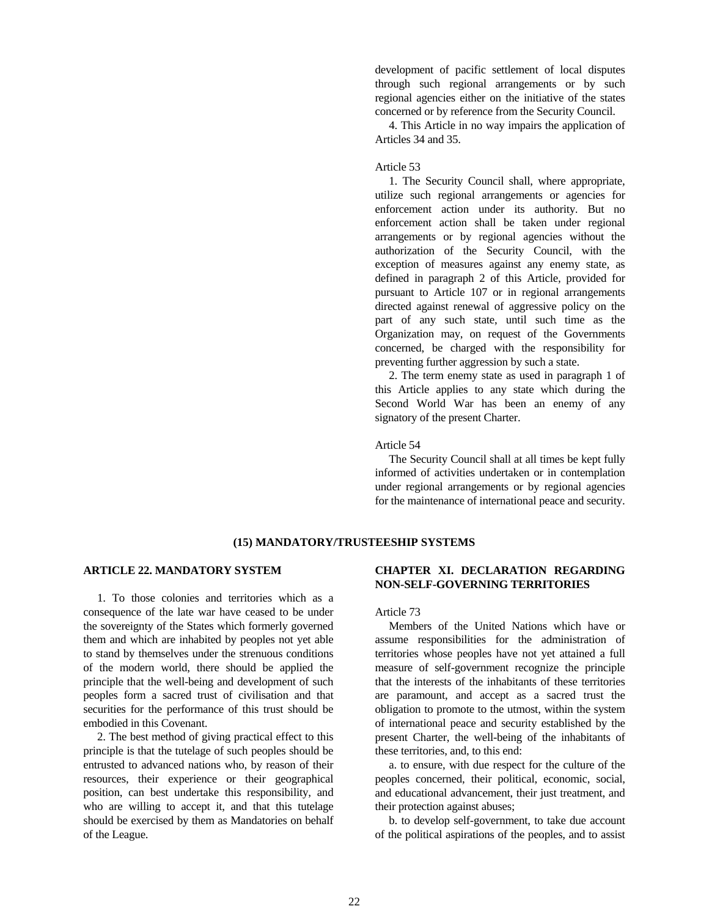development of pacific settlement of local disputes through such regional arrangements or by such regional agencies either on the initiative of the states concerned or by reference from the Security Council.

 4. This Article in no way impairs the application of Articles 34 and 35.

#### Article 53

 1. The Security Council shall, where appropriate, utilize such regional arrangements or agencies for enforcement action under its authority. But no enforcement action shall be taken under regional arrangements or by regional agencies without the authorization of the Security Council, with the exception of measures against any enemy state, as defined in paragraph 2 of this Article, provided for pursuant to Article 107 or in regional arrangements directed against renewal of aggressive policy on the part of any such state, until such time as the Organization may, on request of the Governments concerned, be charged with the responsibility for preventing further aggression by such a state.

 2. The term enemy state as used in paragraph 1 of this Article applies to any state which during the Second World War has been an enemy of any signatory of the present Charter.

### Article 54

 The Security Council shall at all times be kept fully informed of activities undertaken or in contemplation under regional arrangements or by regional agencies for the maintenance of international peace and security.

# **(15) MANDATORY/TRUSTEESHIP SYSTEMS**

## **ARTICLE 22. MANDATORY SYSTEM**

 1. To those colonies and territories which as a consequence of the late war have ceased to be under the sovereignty of the States which formerly governed them and which are inhabited by peoples not yet able to stand by themselves under the strenuous conditions of the modern world, there should be applied the principle that the well-being and development of such peoples form a sacred trust of civilisation and that securities for the performance of this trust should be embodied in this Covenant.

 2. The best method of giving practical effect to this principle is that the tutelage of such peoples should be entrusted to advanced nations who, by reason of their resources, their experience or their geographical position, can best undertake this responsibility, and who are willing to accept it, and that this tutelage should be exercised by them as Mandatories on behalf of the League.

# **CHAPTER XI. DECLARATION REGARDING NON-SELF-GOVERNING TERRITORIES**

## Article 73

 Members of the United Nations which have or assume responsibilities for the administration of territories whose peoples have not yet attained a full measure of self-government recognize the principle that the interests of the inhabitants of these territories are paramount, and accept as a sacred trust the obligation to promote to the utmost, within the system of international peace and security established by the present Charter, the well-being of the inhabitants of these territories, and, to this end:

 a. to ensure, with due respect for the culture of the peoples concerned, their political, economic, social, and educational advancement, their just treatment, and their protection against abuses;

 b. to develop self-government, to take due account of the political aspirations of the peoples, and to assist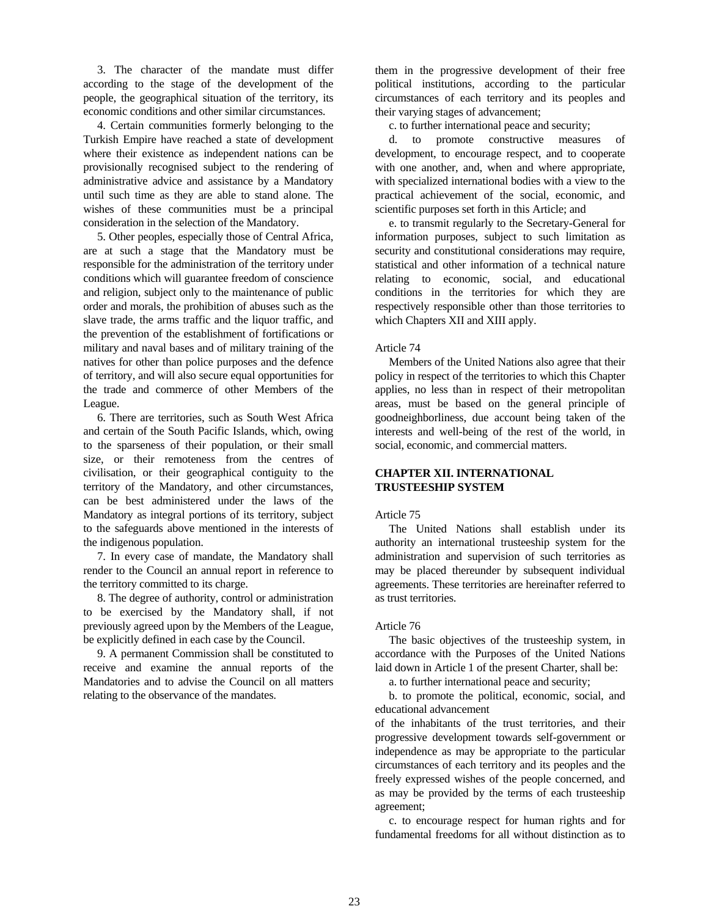3. The character of the mandate must differ according to the stage of the development of the people, the geographical situation of the territory, its economic conditions and other similar circumstances.

 4. Certain communities formerly belonging to the Turkish Empire have reached a state of development where their existence as independent nations can be provisionally recognised subject to the rendering of administrative advice and assistance by a Mandatory until such time as they are able to stand alone. The wishes of these communities must be a principal consideration in the selection of the Mandatory.

 5. Other peoples, especially those of Central Africa, are at such a stage that the Mandatory must be responsible for the administration of the territory under conditions which will guarantee freedom of conscience and religion, subject only to the maintenance of public order and morals, the prohibition of abuses such as the slave trade, the arms traffic and the liquor traffic, and the prevention of the establishment of fortifications or military and naval bases and of military training of the natives for other than police purposes and the defence of territory, and will also secure equal opportunities for the trade and commerce of other Members of the League.

 6. There are territories, such as South West Africa and certain of the South Pacific Islands, which, owing to the sparseness of their population, or their small size, or their remoteness from the centres of civilisation, or their geographical contiguity to the territory of the Mandatory, and other circumstances, can be best administered under the laws of the Mandatory as integral portions of its territory, subject to the safeguards above mentioned in the interests of the indigenous population.

 7. In every case of mandate, the Mandatory shall render to the Council an annual report in reference to the territory committed to its charge.

 8. The degree of authority, control or administration to be exercised by the Mandatory shall, if not previously agreed upon by the Members of the League, be explicitly defined in each case by the Council.

 9. A permanent Commission shall be constituted to receive and examine the annual reports of the Mandatories and to advise the Council on all matters relating to the observance of the mandates.

them in the progressive development of their free political institutions, according to the particular circumstances of each territory and its peoples and their varying stages of advancement;

c. to further international peace and security;

 d. to promote constructive measures of development, to encourage respect, and to cooperate with one another, and, when and where appropriate, with specialized international bodies with a view to the practical achievement of the social, economic, and scientific purposes set forth in this Article; and

 e. to transmit regularly to the Secretary-General for information purposes, subject to such limitation as security and constitutional considerations may require, statistical and other information of a technical nature relating to economic, social, and educational conditions in the territories for which they are respectively responsible other than those territories to which Chapters XII and XIII apply.

## Article 74

 Members of the United Nations also agree that their policy in respect of the territories to which this Chapter applies, no less than in respect of their metropolitan areas, must be based on the general principle of goodneighborliness, due account being taken of the interests and well-being of the rest of the world, in social, economic, and commercial matters.

# **CHAPTER XII. INTERNATIONAL TRUSTEESHIP SYSTEM**

# Article 75

 The United Nations shall establish under its authority an international trusteeship system for the administration and supervision of such territories as may be placed thereunder by subsequent individual agreements. These territories are hereinafter referred to as trust territories.

## Article 76

 The basic objectives of the trusteeship system, in accordance with the Purposes of the United Nations laid down in Article 1 of the present Charter, shall be:

a. to further international peace and security;

 b. to promote the political, economic, social, and educational advancement

of the inhabitants of the trust territories, and their progressive development towards self-government or independence as may be appropriate to the particular circumstances of each territory and its peoples and the freely expressed wishes of the people concerned, and as may be provided by the terms of each trusteeship agreement;

 c. to encourage respect for human rights and for fundamental freedoms for all without distinction as to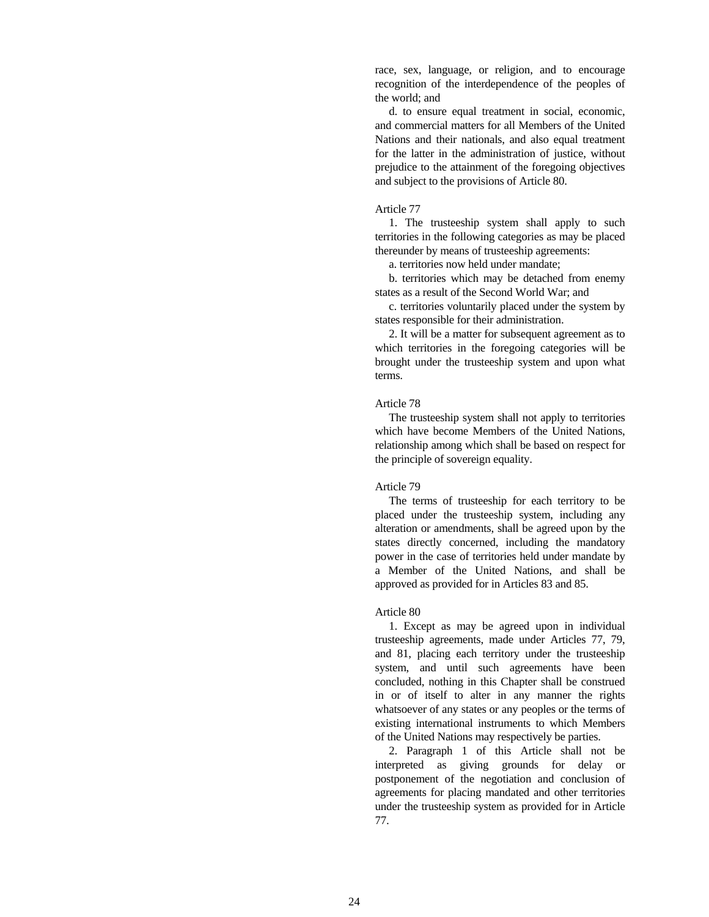race, sex, language, or religion, and to encourage recognition of the interdependence of the peoples of the world; and

 d. to ensure equal treatment in social, economic, and commercial matters for all Members of the United Nations and their nationals, and also equal treatment for the latter in the administration of justice, without prejudice to the attainment of the foregoing objectives and subject to the provisions of Article 80.

## Article 77

 1. The trusteeship system shall apply to such territories in the following categories as may be placed thereunder by means of trusteeship agreements:

a. territories now held under mandate;

 b. territories which may be detached from enemy states as a result of the Second World War; and

 c. territories voluntarily placed under the system by states responsible for their administration.

 2. It will be a matter for subsequent agreement as to which territories in the foregoing categories will be brought under the trusteeship system and upon what terms.

## Article 78

 The trusteeship system shall not apply to territories which have become Members of the United Nations, relationship among which shall be based on respect for the principle of sovereign equality.

#### Article 79

 The terms of trusteeship for each territory to be placed under the trusteeship system, including any alteration or amendments, shall be agreed upon by the states directly concerned, including the mandatory power in the case of territories held under mandate by a Member of the United Nations, and shall be approved as provided for in Articles 83 and 85.

#### Article 80

 1. Except as may be agreed upon in individual trusteeship agreements, made under Articles 77, 79, and 81, placing each territory under the trusteeship system, and until such agreements have been concluded, nothing in this Chapter shall be construed in or of itself to alter in any manner the rights whatsoever of any states or any peoples or the terms of existing international instruments to which Members of the United Nations may respectively be parties.

 2. Paragraph 1 of this Article shall not be interpreted as giving grounds for delay or postponement of the negotiation and conclusion of agreements for placing mandated and other territories under the trusteeship system as provided for in Article 77.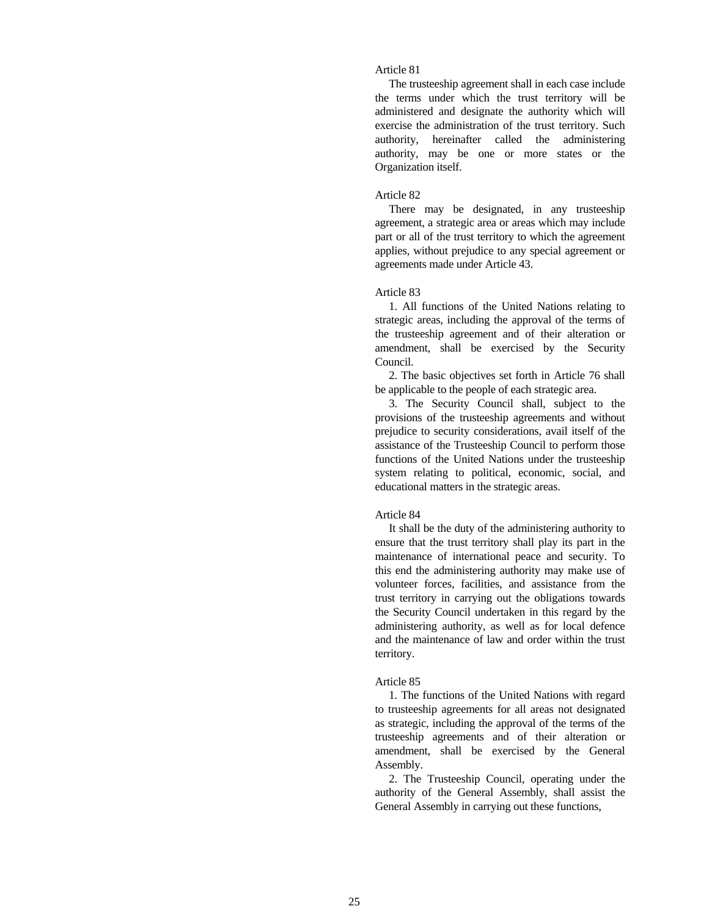# Article 81

 The trusteeship agreement shall in each case include the terms under which the trust territory will be administered and designate the authority which will exercise the administration of the trust territory. Such authority, hereinafter called the administering authority, may be one or more states or the Organization itself.

#### Article 82

 There may be designated, in any trusteeship agreement, a strategic area or areas which may include part or all of the trust territory to which the agreement applies, without prejudice to any special agreement or agreements made under Article 43.

## Article 83

 1. All functions of the United Nations relating to strategic areas, including the approval of the terms of the trusteeship agreement and of their alteration or amendment, shall be exercised by the Security Council.

 2. The basic objectives set forth in Article 76 shall be applicable to the people of each strategic area.

 3. The Security Council shall, subject to the provisions of the trusteeship agreements and without prejudice to security considerations, avail itself of the assistance of the Trusteeship Council to perform those functions of the United Nations under the trusteeship system relating to political, economic, social, and educational matters in the strategic areas.

#### Article 84

 It shall be the duty of the administering authority to ensure that the trust territory shall play its part in the maintenance of international peace and security. To this end the administering authority may make use of volunteer forces, facilities, and assistance from the trust territory in carrying out the obligations towards the Security Council undertaken in this regard by the administering authority, as well as for local defence and the maintenance of law and order within the trust territory.

#### Article 85

 1. The functions of the United Nations with regard to trusteeship agreements for all areas not designated as strategic, including the approval of the terms of the trusteeship agreements and of their alteration or amendment, shall be exercised by the General Assembly.

 2. The Trusteeship Council, operating under the authority of the General Assembly, shall assist the General Assembly in carrying out these functions,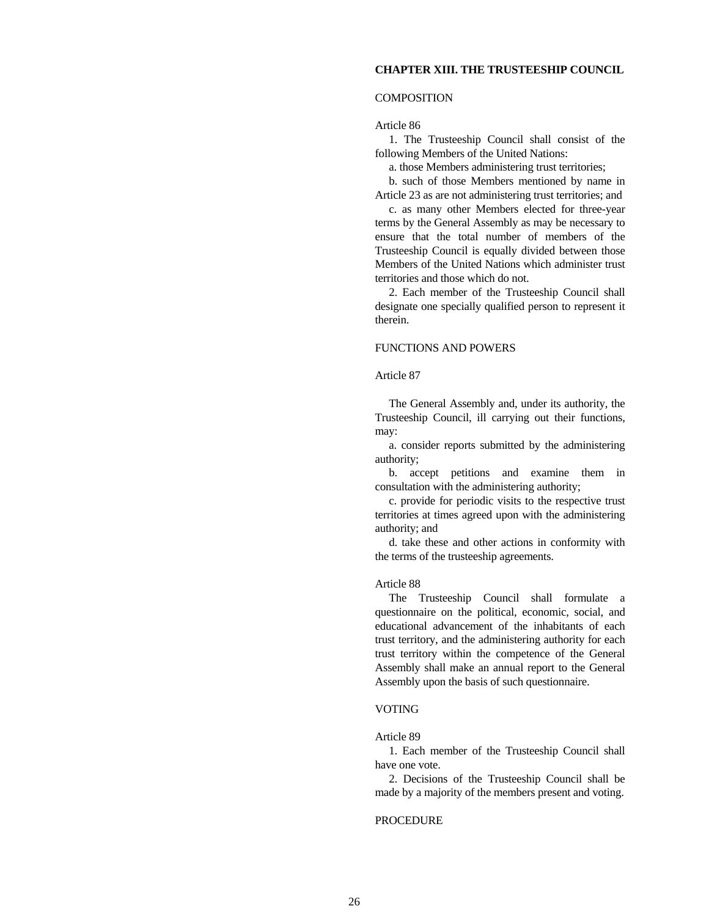## **CHAPTER XIII. THE TRUSTEESHIP COUNCIL**

## COMPOSITION

Article 86

 1. The Trusteeship Council shall consist of the following Members of the United Nations:

a. those Members administering trust territories;

 b. such of those Members mentioned by name in Article 23 as are not administering trust territories; and

 c. as many other Members elected for three-year terms by the General Assembly as may be necessary to ensure that the total number of members of the Trusteeship Council is equally divided between those Members of the United Nations which administer trust territories and those which do not.

 2. Each member of the Trusteeship Council shall designate one specially qualified person to represent it therein.

## FUNCTIONS AND POWERS

## Article 87

 The General Assembly and, under its authority, the Trusteeship Council, ill carrying out their functions, may:

 a. consider reports submitted by the administering authority;

 b. accept petitions and examine them in consultation with the administering authority;

 c. provide for periodic visits to the respective trust territories at times agreed upon with the administering authority; and

 d. take these and other actions in conformity with the terms of the trusteeship agreements.

#### Article 88

 The Trusteeship Council shall formulate a questionnaire on the political, economic, social, and educational advancement of the inhabitants of each trust territory, and the administering authority for each trust territory within the competence of the General Assembly shall make an annual report to the General Assembly upon the basis of such questionnaire.

## VOTING

## Article 89

 1. Each member of the Trusteeship Council shall have one vote.

 2. Decisions of the Trusteeship Council shall be made by a majority of the members present and voting.

## **PROCEDURE**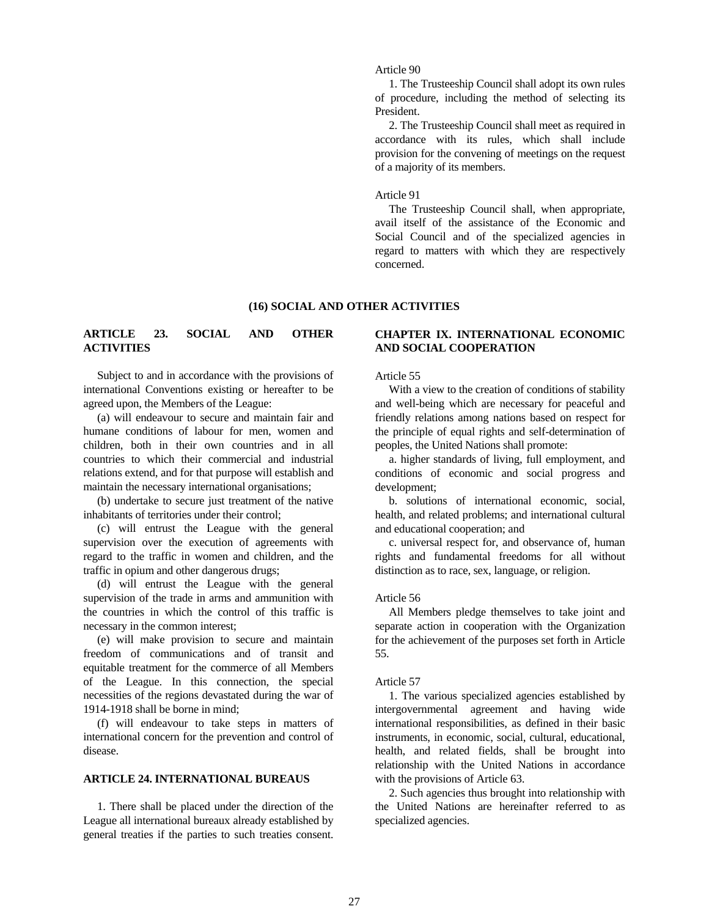Article 90

 1. The Trusteeship Council shall adopt its own rules of procedure, including the method of selecting its President.

 2. The Trusteeship Council shall meet as required in accordance with its rules, which shall include provision for the convening of meetings on the request of a majority of its members.

## Article 91

 The Trusteeship Council shall, when appropriate, avail itself of the assistance of the Economic and Social Council and of the specialized agencies in regard to matters with which they are respectively concerned.

# **(16) SOCIAL AND OTHER ACTIVITIES**

# **ARTICLE 23. SOCIAL AND OTHER ACTIVITIES**

 Subject to and in accordance with the provisions of international Conventions existing or hereafter to be agreed upon, the Members of the League:

 (a) will endeavour to secure and maintain fair and humane conditions of labour for men, women and children, both in their own countries and in all countries to which their commercial and industrial relations extend, and for that purpose will establish and maintain the necessary international organisations;

 (b) undertake to secure just treatment of the native inhabitants of territories under their control;

 (c) will entrust the League with the general supervision over the execution of agreements with regard to the traffic in women and children, and the traffic in opium and other dangerous drugs;

 (d) will entrust the League with the general supervision of the trade in arms and ammunition with the countries in which the control of this traffic is necessary in the common interest;

 (e) will make provision to secure and maintain freedom of communications and of transit and equitable treatment for the commerce of all Members of the League. In this connection, the special necessities of the regions devastated during the war of 1914-1918 shall be borne in mind;

 (f) will endeavour to take steps in matters of international concern for the prevention and control of disease.

# **ARTICLE 24. INTERNATIONAL BUREAUS**

 1. There shall be placed under the direction of the League all international bureaux already established by general treaties if the parties to such treaties consent.

# **CHAPTER IX. INTERNATIONAL ECONOMIC AND SOCIAL COOPERATION**

#### Article 55

 With a view to the creation of conditions of stability and well-being which are necessary for peaceful and friendly relations among nations based on respect for the principle of equal rights and self-determination of peoples, the United Nations shall promote:

 a. higher standards of living, full employment, and conditions of economic and social progress and development;

 b. solutions of international economic, social, health, and related problems; and international cultural and educational cooperation; and

 c. universal respect for, and observance of, human rights and fundamental freedoms for all without distinction as to race, sex, language, or religion.

## Article 56

 All Members pledge themselves to take joint and separate action in cooperation with the Organization for the achievement of the purposes set forth in Article 55.

#### Article 57

 1. The various specialized agencies established by intergovernmental agreement and having wide international responsibilities, as defined in their basic instruments, in economic, social, cultural, educational, health, and related fields, shall be brought into relationship with the United Nations in accordance with the provisions of Article 63.

 2. Such agencies thus brought into relationship with the United Nations are hereinafter referred to as specialized agencies.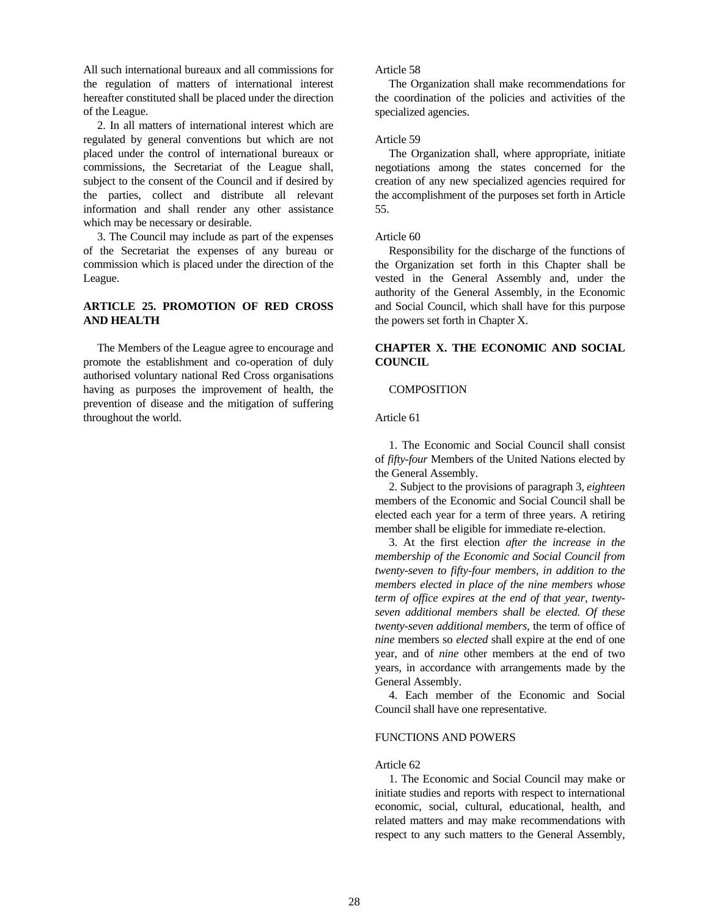All such international bureaux and all commissions for the regulation of matters of international interest hereafter constituted shall be placed under the direction of the League.

 2. In all matters of international interest which are regulated by general conventions but which are not placed under the control of international bureaux or commissions, the Secretariat of the League shall, subject to the consent of the Council and if desired by the parties, collect and distribute all relevant information and shall render any other assistance which may be necessary or desirable.

 3. The Council may include as part of the expenses of the Secretariat the expenses of any bureau or commission which is placed under the direction of the League.

# **ARTICLE 25. PROMOTION OF RED CROSS AND HEALTH**

 The Members of the League agree to encourage and promote the establishment and co-operation of duly authorised voluntary national Red Cross organisations having as purposes the improvement of health, the prevention of disease and the mitigation of suffering throughout the world.

## Article 58

 The Organization shall make recommendations for the coordination of the policies and activities of the specialized agencies.

# Article 59

 The Organization shall, where appropriate, initiate negotiations among the states concerned for the creation of any new specialized agencies required for the accomplishment of the purposes set forth in Article 55.

## Article 60

 Responsibility for the discharge of the functions of the Organization set forth in this Chapter shall be vested in the General Assembly and, under the authority of the General Assembly, in the Economic and Social Council, which shall have for this purpose the powers set forth in Chapter X.

# **CHAPTER X. THE ECONOMIC AND SOCIAL COUNCIL**

# **COMPOSITION**

Article 61

 1. The Economic and Social Council shall consist of *fifty-four* Members of the United Nations elected by the General Assembly.

 2. Subject to the provisions of paragraph 3, *eighteen* members of the Economic and Social Council shall be elected each year for a term of three years. A retiring member shall be eligible for immediate re-election.

 3. At the first election *after the increase in the membership of the Economic and Social Council from twenty-seven to fifty-four members, in addition to the members elected in place of the nine members whose term of office expires at the end of that year, twentyseven additional members shall be elected. Of these twenty-seven additional members,* the term of office of *nine* members so *elected* shall expire at the end of one year, and of *nine* other members at the end of two years, in accordance with arrangements made by the General Assembly.

 4. Each member of the Economic and Social Council shall have one representative.

#### FUNCTIONS AND POWERS

# Article 62

 1. The Economic and Social Council may make or initiate studies and reports with respect to international economic, social, cultural, educational, health, and related matters and may make recommendations with respect to any such matters to the General Assembly,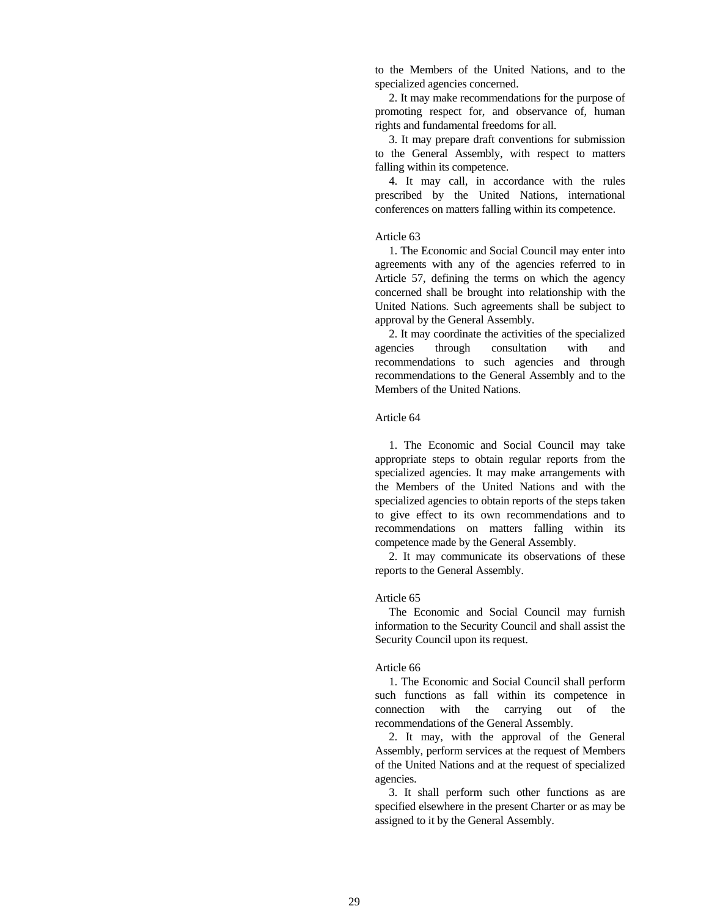to the Members of the United Nations, and to the specialized agencies concerned.

 2. It may make recommendations for the purpose of promoting respect for, and observance of, human rights and fundamental freedoms for all.

 3. It may prepare draft conventions for submission to the General Assembly, with respect to matters falling within its competence.

 4. It may call, in accordance with the rules prescribed by the United Nations, international conferences on matters falling within its competence.

## Article 63

 1. The Economic and Social Council may enter into agreements with any of the agencies referred to in Article 57, defining the terms on which the agency concerned shall be brought into relationship with the United Nations. Such agreements shall be subject to approval by the General Assembly.

 2. It may coordinate the activities of the specialized agencies through consultation with and recommendations to such agencies and through recommendations to the General Assembly and to the Members of the United Nations.

### Article 64

 1. The Economic and Social Council may take appropriate steps to obtain regular reports from the specialized agencies. It may make arrangements with the Members of the United Nations and with the specialized agencies to obtain reports of the steps taken to give effect to its own recommendations and to recommendations on matters falling within its competence made by the General Assembly.

 2. It may communicate its observations of these reports to the General Assembly.

#### Article 65

 The Economic and Social Council may furnish information to the Security Council and shall assist the Security Council upon its request.

#### Article 66

 1. The Economic and Social Council shall perform such functions as fall within its competence in connection with the carrying out of the recommendations of the General Assembly.

 2. It may, with the approval of the General Assembly, perform services at the request of Members of the United Nations and at the request of specialized agencies.

 3. It shall perform such other functions as are specified elsewhere in the present Charter or as may be assigned to it by the General Assembly.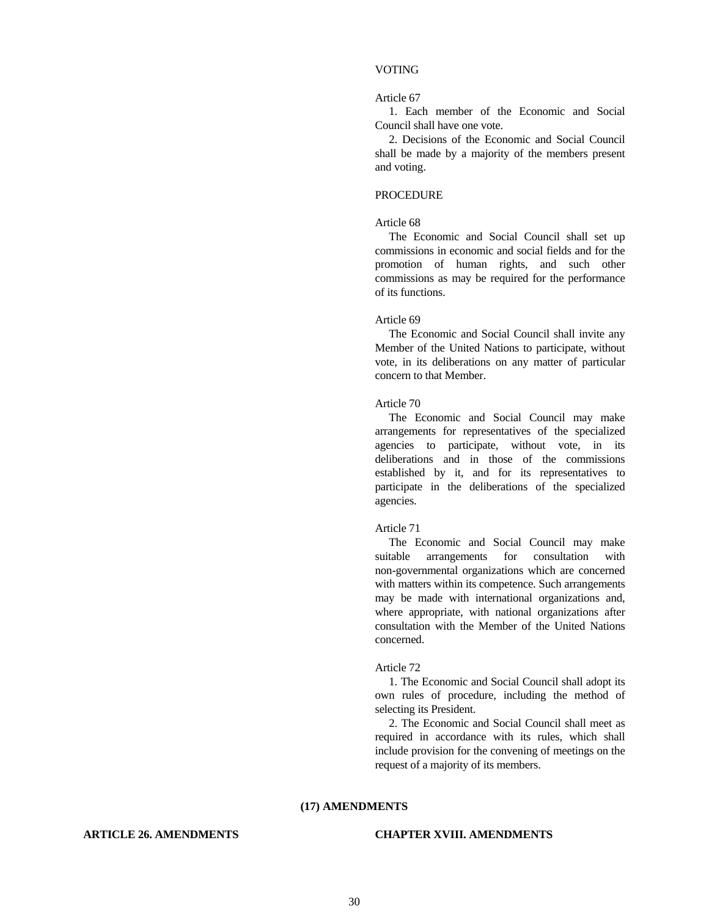## VOTING

#### Article 67

 1. Each member of the Economic and Social Council shall have one vote.

 2. Decisions of the Economic and Social Council shall be made by a majority of the members present and voting.

## PROCEDURE

#### Article 68

 The Economic and Social Council shall set up commissions in economic and social fields and for the promotion of human rights, and such other commissions as may be required for the performance of its functions.

#### Article 69

 The Economic and Social Council shall invite any Member of the United Nations to participate, without vote, in its deliberations on any matter of particular concern to that Member.

## Article 70

 The Economic and Social Council may make arrangements for representatives of the specialized agencies to participate, without vote, in its deliberations and in those of the commissions established by it, and for its representatives to participate in the deliberations of the specialized agencies.

#### Article 71

 The Economic and Social Council may make suitable arrangements for consultation with non-governmental organizations which are concerned with matters within its competence. Such arrangements may be made with international organizations and, where appropriate, with national organizations after consultation with the Member of the United Nations concerned.

## Article 72

 1. The Economic and Social Council shall adopt its own rules of procedure, including the method of selecting its President.

 2. The Economic and Social Council shall meet as required in accordance with its rules, which shall include provision for the convening of meetings on the request of a majority of its members.

#### **(17) AMENDMENTS**

# **ARTICLE 26. AMENDMENTS CHAPTER XVIII. AMENDMENTS**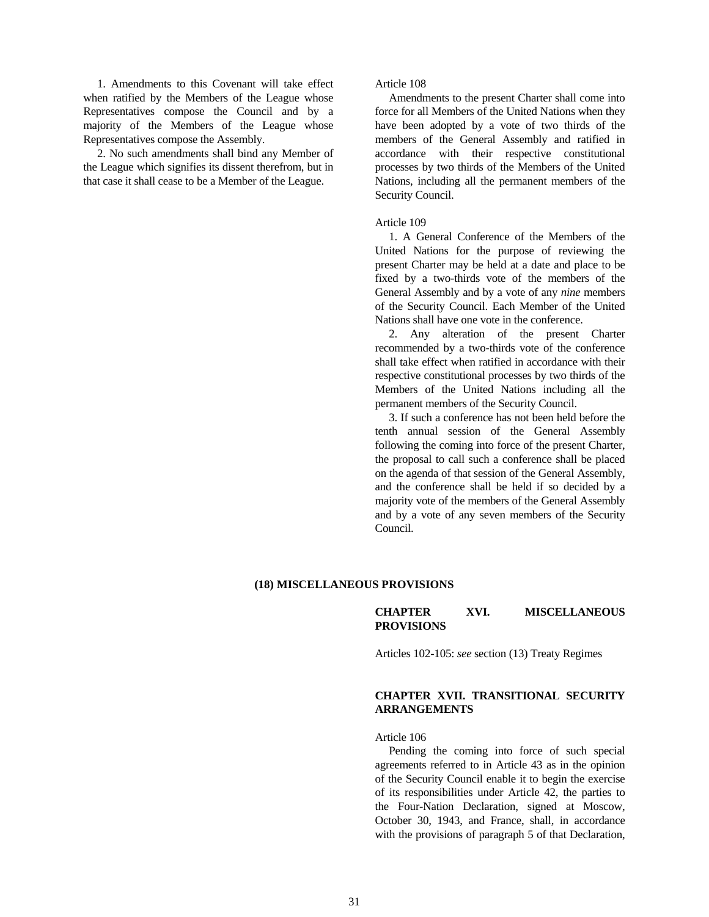1. Amendments to this Covenant will take effect when ratified by the Members of the League whose Representatives compose the Council and by a majority of the Members of the League whose Representatives compose the Assembly.

 2. No such amendments shall bind any Member of the League which signifies its dissent therefrom, but in that case it shall cease to be a Member of the League.

Article 108

 Amendments to the present Charter shall come into force for all Members of the United Nations when they have been adopted by a vote of two thirds of the members of the General Assembly and ratified in accordance with their respective constitutional processes by two thirds of the Members of the United Nations, including all the permanent members of the Security Council.

## Article 109

 1. A General Conference of the Members of the United Nations for the purpose of reviewing the present Charter may be held at a date and place to be fixed by a two-thirds vote of the members of the General Assembly and by a vote of any *nine* members of the Security Council. Each Member of the United Nations shall have one vote in the conference.

 2. Any alteration of the present Charter recommended by a two-thirds vote of the conference shall take effect when ratified in accordance with their respective constitutional processes by two thirds of the Members of the United Nations including all the permanent members of the Security Council.

 3. If such a conference has not been held before the tenth annual session of the General Assembly following the coming into force of the present Charter, the proposal to call such a conference shall be placed on the agenda of that session of the General Assembly, and the conference shall be held if so decided by a majority vote of the members of the General Assembly and by a vote of any seven members of the Security Council.

## **(18) MISCELLANEOUS PROVISIONS**

**CHAPTER XVI. MISCELLANEOUS PROVISIONS**

Articles 102-105: *see* section (13) Treaty Regimes

# **CHAPTER XVII. TRANSITIONAL SECURITY ARRANGEMENTS**

Article 106

 Pending the coming into force of such special agreements referred to in Article 43 as in the opinion of the Security Council enable it to begin the exercise of its responsibilities under Article 42, the parties to the Four-Nation Declaration, signed at Moscow, October 30, 1943, and France, shall, in accordance with the provisions of paragraph 5 of that Declaration,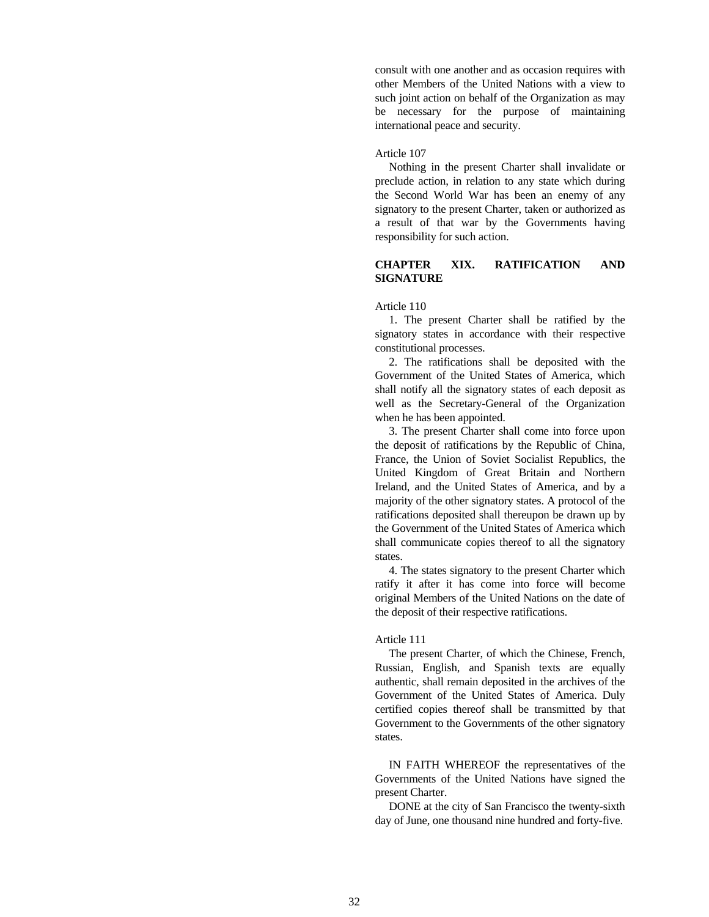consult with one another and as occasion requires with other Members of the United Nations with a view to such joint action on behalf of the Organization as may be necessary for the purpose of maintaining international peace and security.

## Article 107

 Nothing in the present Charter shall invalidate or preclude action, in relation to any state which during the Second World War has been an enemy of any signatory to the present Charter, taken or authorized as a result of that war by the Governments having responsibility for such action.

# **CHAPTER XIX. RATIFICATION AND SIGNATURE**

# Article 110

 1. The present Charter shall be ratified by the signatory states in accordance with their respective constitutional processes.

 2. The ratifications shall be deposited with the Government of the United States of America, which shall notify all the signatory states of each deposit as well as the Secretary-General of the Organization when he has been appointed.

 3. The present Charter shall come into force upon the deposit of ratifications by the Republic of China, France, the Union of Soviet Socialist Republics, the United Kingdom of Great Britain and Northern Ireland, and the United States of America, and by a majority of the other signatory states. A protocol of the ratifications deposited shall thereupon be drawn up by the Government of the United States of America which shall communicate copies thereof to all the signatory states.

 4. The states signatory to the present Charter which ratify it after it has come into force will become original Members of the United Nations on the date of the deposit of their respective ratifications.

## Article 111

 The present Charter, of which the Chinese, French, Russian, English, and Spanish texts are equally authentic, shall remain deposited in the archives of the Government of the United States of America. Duly certified copies thereof shall be transmitted by that Government to the Governments of the other signatory states.

 IN FAITH WHEREOF the representatives of the Governments of the United Nations have signed the present Charter.

 DONE at the city of San Francisco the twenty-sixth day of June, one thousand nine hundred and forty-five.